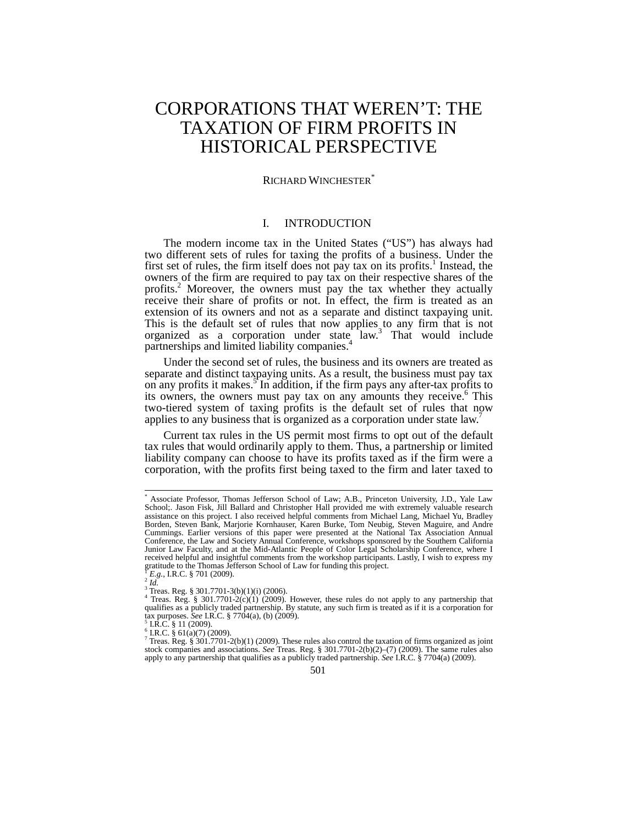# CORPORATIONS THAT WEREN'T: THE TAXATION OF FIRM PROFITS IN HISTORICAL PERSPECTIVE

#### RICHARD WINCHESTER<sup>®</sup>

# I. INTRODUCTION

The modern income tax in the United States ("US") has always had two different sets of rules for taxing the profits of a business. Under the first set of rules, the firm itself does not pay tax on its profits.<sup>1</sup> Instead, the owners of the firm are required to pay tax on their respective shares of the profits.<sup>2</sup> Moreover, the owners must pay the tax whether they actually receive their share of profits or not. In effect, the firm is treated as an extension of its owners and not as a separate and distinct taxpaying unit. This is the default set of rules that now applies to any firm that is not organized as a corporation under state law.<sup>3</sup> That would include partnerships and limited liability companies.<sup>4</sup>

Under the second set of rules, the business and its owners are treated as separate and distinct taxpaying units. As a result, the business must pay tax on any profits it makes.<sup>5</sup> In addition, if the firm pays any after-tax profits to its owners, the owners must pay tax on any amounts they receive.<sup>6</sup> This two-tiered system of taxing profits is the default set of rules that now applies to any business that is organized as a corporation under state law.<sup>7</sup>

Current tax rules in the US permit most firms to opt out of the default tax rules that would ordinarily apply to them. Thus, a partnership or limited liability company can choose to have its profits taxed as if the firm were a corporation, with the profits first being taxed to the firm and later taxed to

 $\overline{a}$ 

<sup>\*</sup> Associate Professor, Thomas Jefferson School of Law; A.B., Princeton University, J.D., Yale Law School;. Jason Fisk, Jill Ballard and Christopher Hall provided me with extremely valuable research assistance on this project. I also received helpful comments from Michael Lang, Michael Yu, Bradley Borden, Steven Bank, Marjorie Kornhauser, Karen Burke, Tom Neubig, Steven Maguire, and Andre Cummings. Earlier versions of this paper were presented at the National Tax Association Annual Conference, the Law and Society Annual Conference, workshops sponsored by the Southern California Junior Law Faculty, and at the Mid-Atlantic People of Color Legal Scholarship Conference, where I received helpful and insightful comments from the workshop participants. Lastly, I wish to express my gratitude to the Thomas Jefferson School of Law for funding this project.<br> $\frac{1}{2}E$ .g., I.R.C. § 701 (2009).

 ${}^{Y}E_{Lg}$ ., I.R.C. § 701 (2009).<br><sup>2</sup> *Id.*<br><sup>3</sup> Treas. Reg. § 301.7701-3(b)(1)(i) (2006).<br><sup>4</sup> Treas. Reg. § 301.7701-2(c)(1) (2009). However, these rules do not apply to any partnership that qualifies as a publicly traded partnership. By statute, any such firm is treated as if it is a corporation for<br>tax purposes. See I.R.C. § 7704(a), (b) (2009).

tax purposes. **See I.A.C.** § 11 (2009).<br>
<sup>6</sup> I.R.C. § 61(a)(7) (2009).<br>
<sup>7</sup> Treas. Reg. § 301.7701-2(b)(1) (2009). These rules also control the taxation of firms organized as joint <sup>7</sup> stock companies and associations. *See* Treas. Reg. § 301.7701-2(b)(2)–(7) (2009). The same rules also apply to any partnership that qualifies as a publicly traded partnership. *See* I.R.C. § 7704(a) (2009).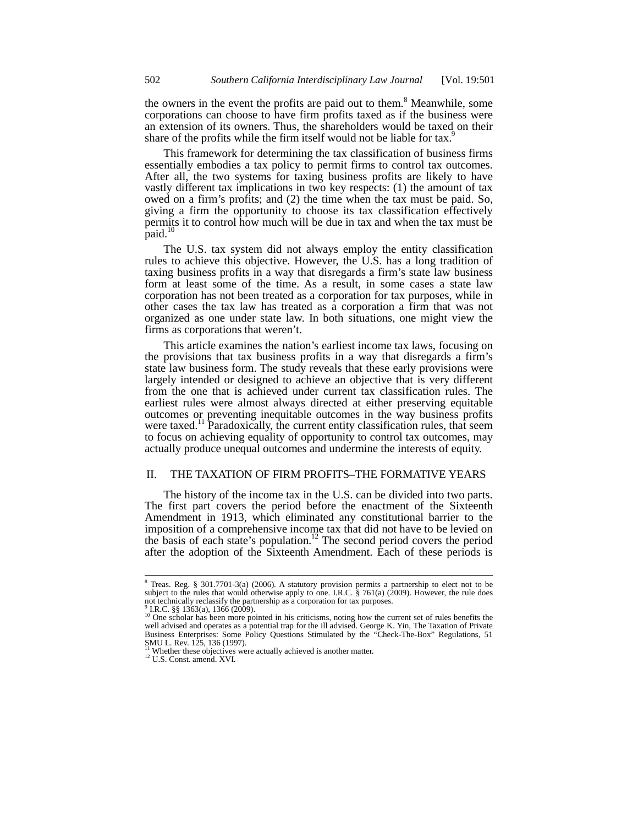the owners in the event the profits are paid out to them.<sup>8</sup> Meanwhile, some corporations can choose to have firm profits taxed as if the business were an extension of its owners. Thus, the shareholders would be taxed on their share of the profits while the firm itself would not be liable for tax.<sup>9</sup>

This framework for determining the tax classification of business firms essentially embodies a tax policy to permit firms to control tax outcomes. After all, the two systems for taxing business profits are likely to have vastly different tax implications in two key respects: (1) the amount of tax owed on a firm's profits; and (2) the time when the tax must be paid. So, giving a firm the opportunity to choose its tax classification effectively permits it to control how much will be due in tax and when the tax must be paid. $^{10}$ 

The U.S. tax system did not always employ the entity classification rules to achieve this objective. However, the U.S. has a long tradition of taxing business profits in a way that disregards a firm's state law business form at least some of the time. As a result, in some cases a state law corporation has not been treated as a corporation for tax purposes, while in other cases the tax law has treated as a corporation a firm that was not organized as one under state law. In both situations, one might view the firms as corporations that weren't.

This article examines the nation's earliest income tax laws, focusing on the provisions that tax business profits in a way that disregards a firm's state law business form. The study reveals that these early provisions were largely intended or designed to achieve an objective that is very different from the one that is achieved under current tax classification rules. The earliest rules were almost always directed at either preserving equitable outcomes or preventing inequitable outcomes in the way business profits were taxed.<sup>11</sup> Paradoxically, the current entity classification rules, that seem to focus on achieving equality of opportunity to control tax outcomes, may actually produce unequal outcomes and undermine the interests of equity.

#### II. THE TAXATION OF FIRM PROFITS–THE FORMATIVE YEARS

The history of the income tax in the U.S. can be divided into two parts. The first part covers the period before the enactment of the Sixteenth Amendment in 1913, which eliminated any constitutional barrier to the imposition of a comprehensive income tax that did not have to be levied on the basis of each state's population.<sup>12</sup> The second period covers the period after the adoption of the Sixteenth Amendment. Each of these periods is

<sup>&</sup>lt;sup>8</sup> Treas. Reg. § 301.7701-3(a) (2006). A statutory provision permits a partnership to elect not to be subject to the rules that would otherwise apply to one. I.R.C. § 761(a) (2009). However, the rule does not technically reclassify the partnership as a corporation for tax purposes.

<sup>9</sup> I.R.C. §§ 1363(a), 1366 (2009). <sup>10</sup> One scholar has been more pointed in his criticisms, noting how the current set of rules benefits the well advised and operates as a potential trap for the ill advised. George K. Yin, The Taxation of Private Business Enterprises: Some Policy Questions Stimulated by the "Check-The-Box" Regulations, 51 SMU L. Rev. 125, 136 (1997).

<sup>&</sup>lt;sup>11</sup> Whether these objectives were actually achieved is another matter. <sup>12</sup> U.S. Const. amend. XVI.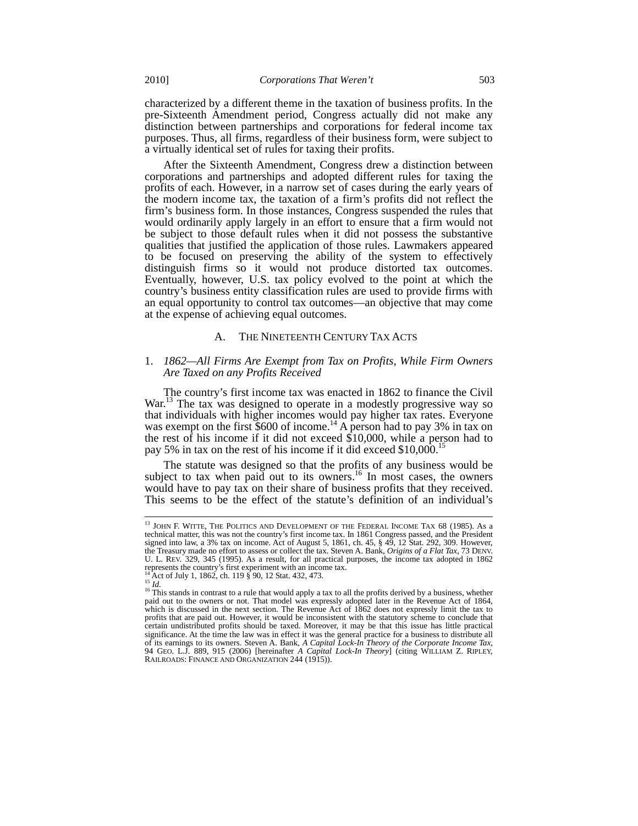characterized by a different theme in the taxation of business profits. In the pre-Sixteenth Amendment period, Congress actually did not make any distinction between partnerships and corporations for federal income tax purposes. Thus, all firms, regardless of their business form, were subject to a virtually identical set of rules for taxing their profits.

After the Sixteenth Amendment, Congress drew a distinction between corporations and partnerships and adopted different rules for taxing the profits of each. However, in a narrow set of cases during the early years of the modern income tax, the taxation of a firm's profits did not reflect the firm's business form. In those instances, Congress suspended the rules that would ordinarily apply largely in an effort to ensure that a firm would not be subject to those default rules when it did not possess the substantive qualities that justified the application of those rules. Lawmakers appeared to be focused on preserving the ability of the system to effectively distinguish firms so it would not produce distorted tax outcomes. Eventually, however, U.S. tax policy evolved to the point at which the country's business entity classification rules are used to provide firms with an equal opportunity to control tax outcomes—an objective that may come at the expense of achieving equal outcomes.

#### A. THE NINETEENTH CENTURY TAX ACTS

# 1. *1862—All Firms Are Exempt from Tax on Profits, While Firm Owners Are Taxed on any Profits Received*

The country's first income tax was enacted in 1862 to finance the Civil War.<sup>13</sup> The tax was designed to operate in a modestly progressive way so that individuals with higher incomes would pay higher tax rates. Everyone was exempt on the first  $$600$  of income.<sup>14</sup> A person had to pay 3% in tax on the rest of his income if it did not exceed  $$10,000$ , while a person had to pay 5% in tax on the rest of his income if it did exceed \$10,000.<sup>15</sup>

The statute was designed so that the profits of any business would be subject to tax when paid out to its owners.<sup>16</sup> In most cases, the owners would have to pay tax on their share of business profits that they received. This seems to be the effect of the statute's definition of an individual's

 $13$  JOHN F. WITTE, THE POLITICS AND DEVELOPMENT OF THE FEDERAL INCOME TAX 68 (1985). As a technical matter, this was not the country's first income tax. In 1861 Congress passed, and the President signed into law, a 3% tax on income. Act of August 5, 1861, ch. 45, § 49, 12 Stat. 292, 309. However, the Treasury made no effort to assess or collect the tax. Steven A. Bank, *Origins of a Flat Tax*, 73 DENV. U. L. REV. 329, 345 (1995). As a result, for all practical purposes, the income tax adopted in 1862 represents the country's first experiment with an income tax.

<sup>&</sup>lt;sup>14</sup> Act of July 1, 1862, ch. 119 § 90, 12 Stat. 432, 473.<br><sup>15</sup> *Id.* 16 This stands in contrast to a rule that would apply a tax to all the profits derived by a business, whether paid out to the owners or not. That model was expressly adopted later in the Revenue Act of 1864, which is discussed in the next section. The Revenue Act of 1862 does not expressly limit the tax to profits that are paid out. However, it would be inconsistent with the statutory scheme to conclude that certain undistributed profits should be taxed. Moreover, it may be that this issue has little practical significance. At the time the law was in effect it was the general practice for a business to distribute all of its earnings to its owners. Steven A. Bank, *A Capital Lock-In Theory of the Corporate Income Tax*, 94 GEO. L.J. 889, 915 (2006) [hereinafter *A Capital Lock-In Theory*] (citing WILLIAM Z. RIPLEY, RAILROADS: FINANCE AND ORGANIZATION 244 (1915)).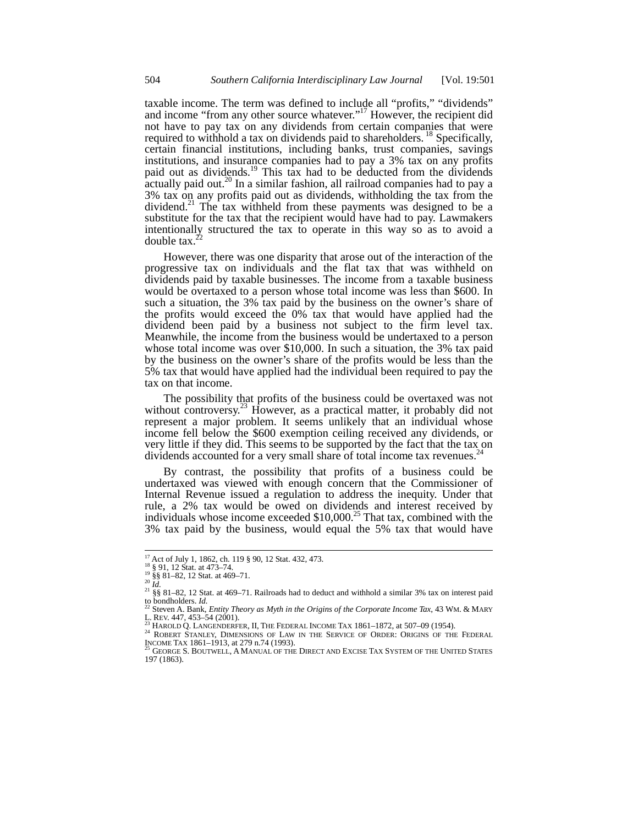taxable income. The term was defined to include all "profits," "dividends" and income "from any other source whatever."<sup>17</sup> However, the recipient did not have to pay tax on any dividends from certain companies that were required to withhold a tax on dividends paid to shareholders.<sup>18</sup> Specifically, certain financial institutions, including banks, trust companies, savings institutions, and insurance companies had to pay a 3% tax on any profits paid out as dividends.<sup>19</sup> This tax had to be deducted from the dividends  $\alpha$  actually paid out.<sup>20</sup> In a similar fashion, all railroad companies had to pay a 3% tax on any profits paid out as dividends, withholding the tax from the dividend.<sup>21</sup> The tax withheld from these payments was designed to be a substitute for the tax that the recipient would have had to pay. Lawmakers intentionally structured the tax to operate in this way so as to avoid a double  $tax.^{2}$ 

However, there was one disparity that arose out of the interaction of the progressive tax on individuals and the flat tax that was withheld on dividends paid by taxable businesses. The income from a taxable business would be overtaxed to a person whose total income was less than \$600. In such a situation, the 3% tax paid by the business on the owner's share of the profits would exceed the 0% tax that would have applied had the dividend been paid by a business not subject to the firm level tax. Meanwhile, the income from the business would be undertaxed to a person whose total income was over \$10,000. In such a situation, the 3% tax paid by the business on the owner's share of the profits would be less than the 5% tax that would have applied had the individual been required to pay the tax on that income.

The possibility that profits of the business could be overtaxed was not without controversy.<sup>23</sup> However, as a practical matter, it probably did not represent a major problem. It seems unlikely that an individual whose income fell below the \$600 exemption ceiling received any dividends, or very little if they did. This seems to be supported by the fact that the tax on dividends accounted for a very small share of total income tax revenues.<sup>2</sup>

By contrast, the possibility that profits of a business could be undertaxed was viewed with enough concern that the Commissioner of Internal Revenue issued a regulation to address the inequity. Under that rule, a 2% tax would be owed on dividends and interest received by individuals whose income exceeded \$10,000.<sup>25</sup> That tax, combined with the 3% tax paid by the business, would equal the 5% tax that would have

<sup>&</sup>lt;sup>17</sup> Act of July 1, 1862, ch. 119 § 90, 12 Stat. 432, 473.<br><sup>18</sup> § 91, 12 Stat. at 473–74.

<sup>&</sup>lt;sup>17</sup> Act of July 1, 1862, ch. 119 § 90, 12 Stat. 432, 473.<br><sup>18</sup> § 81, 12 Stat. at 473–74.<br><sup>19</sup> §§ 81–82, 12 Stat. at 469–71.<br><sup>20</sup> *Id.*<br><sup>21</sup> §§ 81–82, 12 Stat. at 469–71. Railroads had to deduct and withhold a similar 3% to bondholders. *Id.* <sup>22</sup> Steven A. Bank, *Entity Theory as Myth in the Origins of the Corporate Income Tax*, 43 WM. & MARY

L. REV. 447, 453–54 (2001).<br><sup>23</sup> Harold Q. Langenderfer, II, The Federal Income Tax 1861–1872, at 507–09 (1954).<br><sup>24</sup> Robert Stanley, Dimensions of Law in the Service of Order: Origins of the Federal

INCOME TAX 1861–1913, at 279 n.74 (1993).<br><sup>25</sup> George S. Boutwell, A Manual of the Direct and Excise Tax System of the United States

<sup>197 (1863).</sup>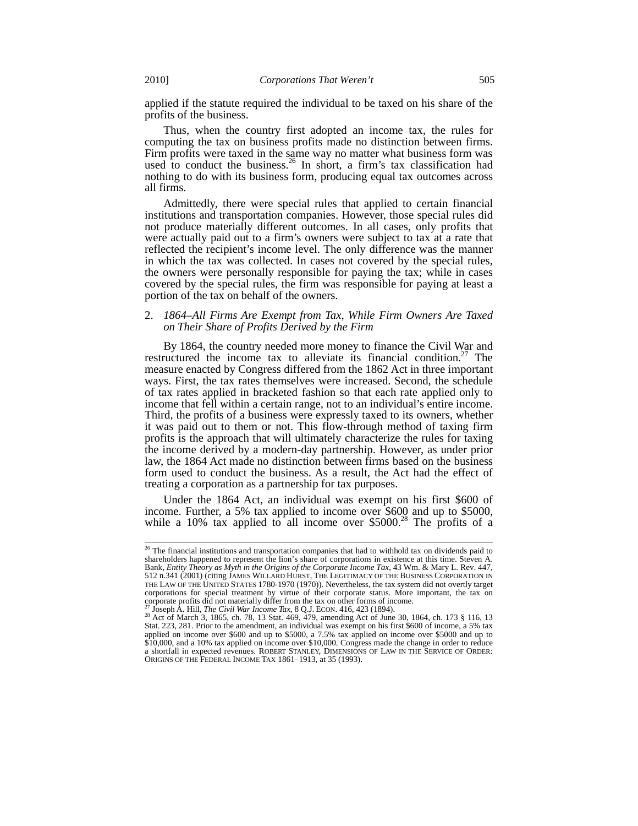applied if the statute required the individual to be taxed on his share of the profits of the business.

Thus, when the country first adopted an income tax, the rules for computing the tax on business profits made no distinction between firms. Firm profits were taxed in the same way no matter what business form was used to conduct the business.<sup>26</sup> In short, a firm's tax classification had nothing to do with its business form, producing equal tax outcomes across all firms.

Admittedly, there were special rules that applied to certain financial institutions and transportation companies. However, those special rules did not produce materially different outcomes. In all cases, only profits that were actually paid out to a firm's owners were subject to tax at a rate that reflected the recipient's income level. The only difference was the manner in which the tax was collected. In cases not covered by the special rules, the owners were personally responsible for paying the tax; while in cases covered by the special rules, the firm was responsible for paying at least a portion of the tax on behalf of the owners.

### 2. *1864–All Firms Are Exempt from Tax, While Firm Owners Are Taxed on Their Share of Profits Derived by the Firm*

By 1864, the country needed more money to finance the Civil War and restructured the income tax to alleviate its financial condition.<sup>27</sup> The measure enacted by Congress differed from the 1862 Act in three important ways. First, the tax rates themselves were increased. Second, the schedule of tax rates applied in bracketed fashion so that each rate applied only to income that fell within a certain range, not to an individual's entire income. Third, the profits of a business were expressly taxed to its owners, whether it was paid out to them or not. This flow-through method of taxing firm profits is the approach that will ultimately characterize the rules for taxing the income derived by a modern-day partnership. However, as under prior law, the 1864 Act made no distinction between firms based on the business form used to conduct the business. As a result, the Act had the effect of treating a corporation as a partnership for tax purposes.

Under the 1864 Act, an individual was exempt on his first \$600 of income. Further, a 5% tax applied to income over \$600 and up to \$5000, while a 10% tax applied to all income over  $$5000.<sup>28</sup>$  The profits of a

 $\overline{a}$ 

 $26$  The financial institutions and transportation companies that had to withhold tax on dividends paid to shareholders happened to represent the lion's share of corporations in existence at this time. Steven A. Bank, *Entity Theory as Myth in the Origins of the Corporate Income Tax*, 43 Wm. & Mary L. Rev. 447, 512 n.341 (2001) (citing JAMES WILLARD HURST, THE LEGITIMACY OF THE BUSINESS CORPORATION IN THE LAW OF THE UNITED STATES 1780-1970 (1970)). Nevertheless, the tax system did not overtly target corporations for special treatment by virtue of their corporate status. More important, the tax on corporate profits did not materially differ from the tax on other forms of income.

<sup>&</sup>lt;sup>27</sup> Joseph A. Hill, *The Civil War Income Tax*, 8 Q.J. ECON. 416, 423 (1894).<br><sup>28</sup> Act of March 3, 1865, ch. 78, 13 Stat. 469, 479, amending Act of June 30, 1864, ch. 173 § 116, 13 Stat. 223, 281. Prior to the amendment, an individual was exempt on his first \$600 of income, a 5% tax applied on income over \$600 and up to \$5000, a 7.5% tax applied on income over \$5000 and up to \$10,000, and a 10% tax applied on income over \$10,000. Congress made the change in order to reduce a shortfall in expected revenues. ROBERT STANLEY, DIMENSIONS OF LAW IN THE SERVICE OF ORDER: ORIGINS OF THE FEDERAL INCOME TAX 1861–1913, at 35 (1993).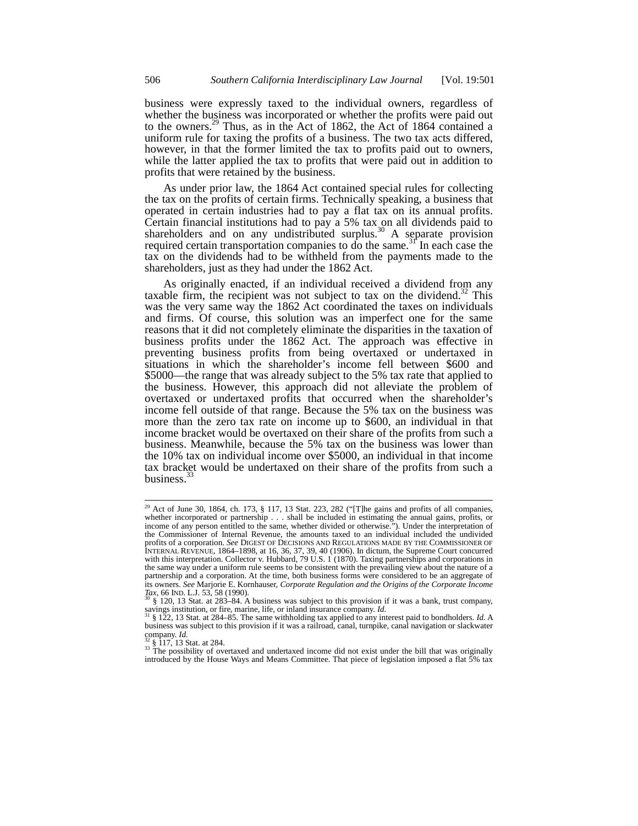business were expressly taxed to the individual owners, regardless of whether the business was incorporated or whether the profits were paid out to the owners.<sup>29</sup> Thus, as in the Act of 1862, the Act of 1864 contained a uniform rule for taxing the profits of a business. The two tax acts differed, however, in that the former limited the tax to profits paid out to owners, while the latter applied the tax to profits that were paid out in addition to profits that were retained by the business.

As under prior law, the 1864 Act contained special rules for collecting the tax on the profits of certain firms. Technically speaking, a business that operated in certain industries had to pay a flat tax on its annual profits. Certain financial institutions had to pay a 5% tax on all dividends paid to shareholders and on any undistributed surplus. $30$  A separate provision required certain transportation companies to do the same.<sup>31</sup> In each case the tax on the dividends had to be withheld from the payments made to the shareholders, just as they had under the 1862 Act.

As originally enacted, if an individual received a dividend from any taxable firm, the recipient was not subject to tax on the dividend.<sup>32</sup> This was the very same way the 1862 Act coordinated the taxes on individuals and firms. Of course, this solution was an imperfect one for the same reasons that it did not completely eliminate the disparities in the taxation of business profits under the 1862 Act. The approach was effective in preventing business profits from being overtaxed or undertaxed in situations in which the shareholder's income fell between \$600 and \$5000—the range that was already subject to the 5% tax rate that applied to the business. However, this approach did not alleviate the problem of overtaxed or undertaxed profits that occurred when the shareholder's income fell outside of that range. Because the 5% tax on the business was more than the zero tax rate on income up to \$600, an individual in that income bracket would be overtaxed on their share of the profits from such a business. Meanwhile, because the 5% tax on the business was lower than the 10% tax on individual income over \$5000, an individual in that income tax bracket would be undertaxed on their share of the profits from such a business.<sup>33</sup>

<sup>&</sup>lt;sup>29</sup> Act of June 30, 1864, ch. 173, § 117, 13 Stat. 223, 282 ("[T]he gains and profits of all companies, whether incorporated or partnership . . . shall be included in estimating the annual gains, profits, or income of any person entitled to the same, whether divided or otherwise."). Under the interpretation of the Commissioner of Internal Revenue, the amounts taxed to an individual included the undivided profits of a corporation. *See* DIGEST OF DECISIONS AND REGULATIONS MADE BY THE COMMISSIONER OF INTERNAL REVENUE, 1864–1898, at 16, 36, 37, 39, 40 (1906). In dictum, the Supreme Court concurred with this interpretation. Collector v. Hubbard, 79 U.S. 1 (1870). Taxing partnerships and corporations in the same way under a uniform rule seems to be consistent with the prevailing view about the nature of a partnership and a corporation. At the time, both business forms were considered to be an aggregate of its owners. *See* Marjorie E. Kornhauser, *Corporate Regulation and the Origins of the Corporate Income* 

<sup>&</sup>lt;sup>6</sup> § 120, 13 Stat. at 283–84. A business was subject to this provision if it was a bank, trust company, savings institution, or fire, marine, life, or inland insurance company. *Id.*  $\frac{31}{8}$  § 122, 13 Stat. at 284–85. The same withholding tax applied to any interest paid to bondholders. *Id.* A

business was subject to this provision if it was a railroad, canal, turnpike, canal navigation or slackwater company. *Id.* <sup>32</sup> § 117, 13 Stat. at 284. **33** The possibility of overtaxed and undertaxed income did not exist under the bill that was originally

introduced by the House Ways and Means Committee. That piece of legislation imposed a flat 5% tax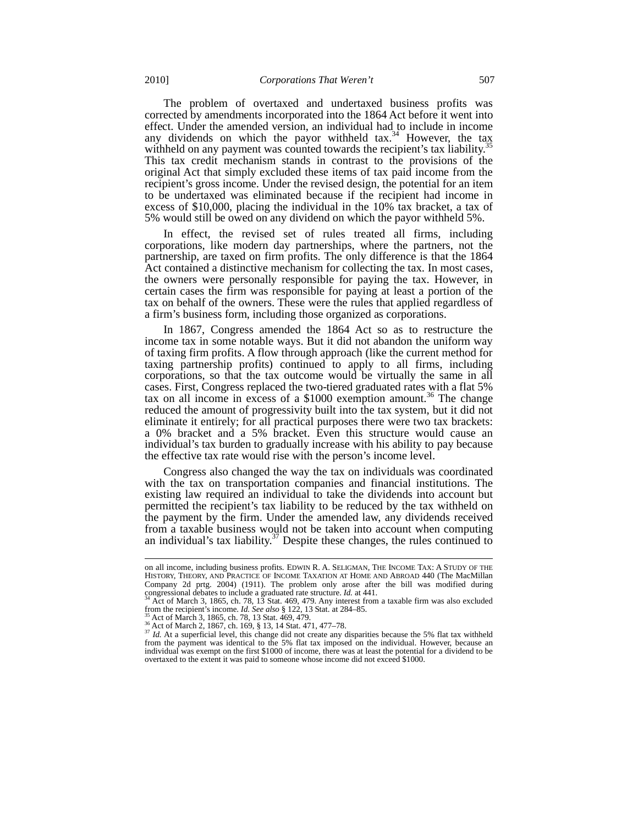The problem of overtaxed and undertaxed business profits was corrected by amendments incorporated into the 1864 Act before it went into effect. Under the amended version, an individual had to include in income any dividends on which the payor withheld  $\text{tax.}^{34}$  However, the tax withheld on any payment was counted towards the recipient's tax liability.<sup>35</sup> This tax credit mechanism stands in contrast to the provisions of the original Act that simply excluded these items of tax paid income from the recipient's gross income. Under the revised design, the potential for an item to be undertaxed was eliminated because if the recipient had income in excess of \$10,000, placing the individual in the 10% tax bracket, a tax of 5% would still be owed on any dividend on which the payor withheld 5%.

In effect, the revised set of rules treated all firms, including corporations, like modern day partnerships, where the partners, not the partnership, are taxed on firm profits. The only difference is that the 1864 Act contained a distinctive mechanism for collecting the tax. In most cases, the owners were personally responsible for paying the tax. However, in certain cases the firm was responsible for paying at least a portion of the tax on behalf of the owners. These were the rules that applied regardless of a firm's business form, including those organized as corporations.

In 1867, Congress amended the 1864 Act so as to restructure the income tax in some notable ways. But it did not abandon the uniform way of taxing firm profits. A flow through approach (like the current method for taxing partnership profits) continued to apply to all firms, including corporations, so that the tax outcome would be virtually the same in all cases. First, Congress replaced the two-tiered graduated rates with a flat 5% tax on all income in excess of a  $$1000$  exemption amount.<sup>36</sup> The change reduced the amount of progressivity built into the tax system, but it did not eliminate it entirely; for all practical purposes there were two tax brackets: a 0% bracket and a 5% bracket. Even this structure would cause an individual's tax burden to gradually increase with his ability to pay because the effective tax rate would rise with the person's income level.

Congress also changed the way the tax on individuals was coordinated with the tax on transportation companies and financial institutions. The existing law required an individual to take the dividends into account but permitted the recipient's tax liability to be reduced by the tax withheld on the payment by the firm. Under the amended law, any dividends received from a taxable business would not be taken into account when computing an individual's tax liability.<sup>37</sup> Despite these changes, the rules continued to

on all income, including business profits. EDWIN R. A. SELIGMAN, THE INCOME TAX: A STUDY OF THE HISTORY, THEORY, AND PRACTICE OF INCOME TAXATION AT HOME AND ABROAD 440 (The MacMillan Company 2d prtg. 2004) (1911). The problem only arose after the bill was modified during congressional debates to include a graduated rate structure. *Id.* at 441.<br><sup>34</sup> Act of March 3, 1865, ch. 78, 13 Stat. 469, 479. Any

<sup>34</sup> Act of March 3, 1865, ch. 78, 13 Stat. 469, 479. Any interest from a taxable firm was also excluded<br>from the recipient's income. *Id. See also* § 122, 13 Stat. at 284–85.<br><sup>35</sup> Act of March 3, 1865, ch. 78, 13 Stat. 469

from the payment was identical to the 5% flat tax imposed on the individual. However, because an individual was exempt on the first \$1000 of income, there was at least the potential for a dividend to be overtaxed to the extent it was paid to someone whose income did not exceed \$1000.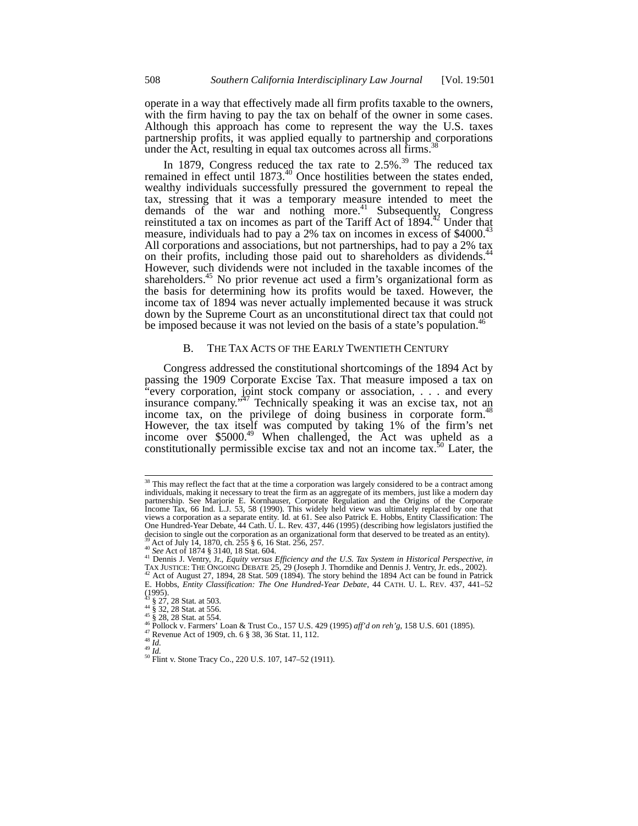operate in a way that effectively made all firm profits taxable to the owners, with the firm having to pay the tax on behalf of the owner in some cases. Although this approach has come to represent the way the U.S. taxes partnership profits, it was applied equally to partnership and corporations under the Act, resulting in equal tax outcomes across all firms.<sup>3</sup>

In 1879, Congress reduced the tax rate to  $2.5\%$ .<sup>39</sup> The reduced tax remained in effect until  $1873<sup>40</sup>$  Once hostilities between the states ended, wealthy individuals successfully pressured the government to repeal the tax, stressing that it was a temporary measure intended to meet the demands of the war and nothing more.<sup>41</sup> Subsequently, Congress reinstituted a tax on incomes as part of the Tariff Act of  $1894$ <sup>42</sup> Under that measure, individuals had to pay a  $2\%$  tax on incomes in excess of \$4000.<sup>43</sup> All corporations and associations, but not partnerships, had to pay a 2% tax on their profits, including those paid out to shareholders as dividends.<sup>44</sup> However, such dividends were not included in the taxable incomes of the shareholders.<sup>45</sup> No prior revenue act used a firm's organizational form as the basis for determining how its profits would be taxed. However, the income tax of 1894 was never actually implemented because it was struck down by the Supreme Court as an unconstitutional direct tax that could not be imposed because it was not levied on the basis of a state's population.<sup>46</sup>

# B. THE TAX ACTS OF THE EARLY TWENTIETH CENTURY

Congress addressed the constitutional shortcomings of the 1894 Act by passing the 1909 Corporate Excise Tax. That measure imposed a tax on "every corporation, joint stock company or association, . . . and every insurance company." $47$  Technically speaking it was an excise tax, not an income tax, on the privilege of doing business in corporate form.<sup>48</sup> However, the tax itself was computed by taking 1% of the firm's net income over \$5000.<sup>49</sup> When challenged, the Act was upheld as a constitutionally permissible excise tax and not an income tax.<sup>50</sup> Later, the

<sup>&</sup>lt;sup>38</sup> This may reflect the fact that at the time a corporation was largely considered to be a contract among individuals, making it necessary to treat the firm as an aggregate of its members, just like a modern day partnership. See Marjorie E. Kornhauser, Corporate Regulation and the Origins of the Corporate Income Tax, 66 Ind. L.J. 53, 58 (1990). This widely held view was ultimately replaced by one that views a corporation as a separate entity. Id. at 61. See also Patrick E. Hobbs, Entity Classification: The One Hundred-Year Debate, 44 Cath. U. L. Rev. 437, 446 (1995) (describing how legislators justified the decision to single out the corporation as an organizational form that deserved to be treated as an entity).<br><sup>39</sup> Act of July 14, 1870, ch. 255 § 6, 16 Stat. 256, 257.<br><sup>40</sup> See Act of 1874 § 3140, 18 Stat. 604.<br><sup>41</sup> Dennis

See Act of 16/4 § 5140, 16 Stat. 604.<br>41 Dennis J. Ventry, Jr., Equity versus Efficiency and the U.S. Tax System in Historical Perspective, in<br>TAX JUSTICE: THE ONGOING DEBATE 25, 29 (Joseph J. Thorndike and Dennis J. Ventr E. Hobbs, *Entity Classification: The One Hundred-Year Debate*, 44 CATH. U. L. REV. 437, 441–52

 $(1995)$ .<br> $^{43}$  § 27, 28 Stat. at 503.<br> $^{44}$  § 32, 28 Stat. at 556.<br> $^{45}$  § 28, 28 Stat. at 554.

<sup>&</sup>lt;sup>46</sup> Solo, *Let the Street Co.*, 157 U.S. 429 (1995) *aff'd on reh'g*, 158 U.S. 601 (1895).<br><sup>47</sup> Revenue Act of 1909, ch. 6 § 38, 36 Stat. 11, 112.<br><sup>48</sup> *Id.*<br><sup>49</sup> *Id.*<br><sup>50</sup> Flint v. Stone Tracy Co., 220 U.S. 107, 147–52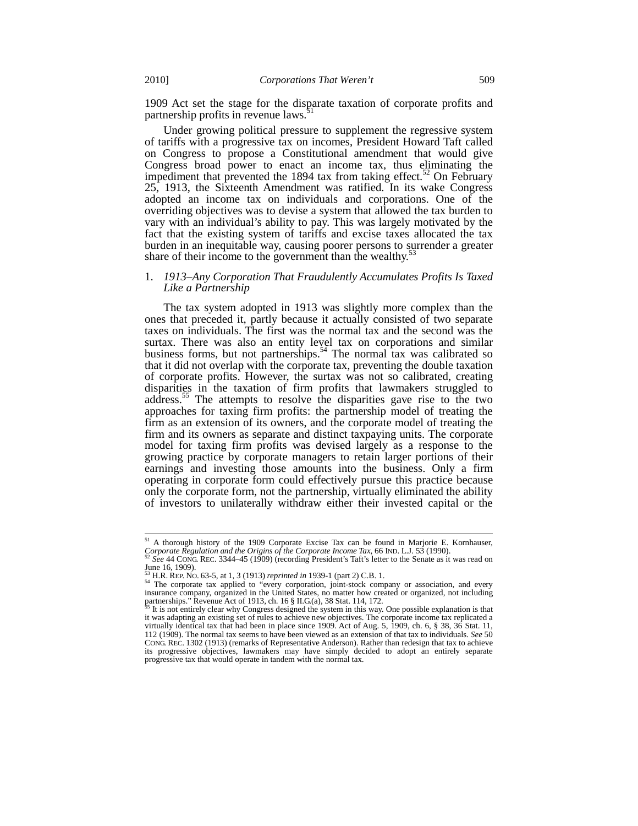1909 Act set the stage for the disparate taxation of corporate profits and partnership profits in revenue laws.<sup>5</sup>

Under growing political pressure to supplement the regressive system of tariffs with a progressive tax on incomes, President Howard Taft called on Congress to propose a Constitutional amendment that would give Congress broad power to enact an income tax, thus eliminating the impediment that prevented the  $1894$  tax from taking effect.<sup>52</sup> On February 25, 1913, the Sixteenth Amendment was ratified. In its wake Congress adopted an income tax on individuals and corporations. One of the overriding objectives was to devise a system that allowed the tax burden to vary with an individual's ability to pay. This was largely motivated by the fact that the existing system of tariffs and excise taxes allocated the tax burden in an inequitable way, causing poorer persons to surrender a greater share of their income to the government than the wealthy.<sup>53</sup>

# 1. *1913–Any Corporation That Fraudulently Accumulates Profits Is Taxed Like a Partnership*

The tax system adopted in 1913 was slightly more complex than the ones that preceded it, partly because it actually consisted of two separate taxes on individuals. The first was the normal tax and the second was the surtax. There was also an entity level tax on corporations and similar business forms, but not partnerships.<sup>54</sup> The normal tax was calibrated so that it did not overlap with the corporate tax, preventing the double taxation of corporate profits. However, the surtax was not so calibrated, creating disparities in the taxation of firm profits that lawmakers struggled to address.<sup>55</sup> The attempts to resolve the disparities gave rise to the two approaches for taxing firm profits: the partnership model of treating the firm as an extension of its owners, and the corporate model of treating the firm and its owners as separate and distinct taxpaying units. The corporate model for taxing firm profits was devised largely as a response to the growing practice by corporate managers to retain larger portions of their earnings and investing those amounts into the business. Only a firm operating in corporate form could effectively pursue this practice because only the corporate form, not the partnership, virtually eliminated the ability of investors to unilaterally withdraw either their invested capital or the

 $51$  A thorough history of the 1909 Corporate Excise Tax can be found in Marjorie E. Kornhauser, *Corporate Regulation and the Origins of the Corporate Income Tax*, 66 IND. L.J. 53 (1990).<br><sup>52</sup> *See* 44 CONG. REC. 3344–45 (1909) (recording President's Taft's letter to the Senate as it was read on

June 16, 1909).<br><sup>53</sup> H.R. REP. NO. 63-5, at 1, 3 (1913) *reprinted in* 1939-1 (part 2) C.B. 1.

<sup>&</sup>lt;sup>53</sup> H.R. REP. No. 63-5, at 1, 3 (1913) *reprinted in* 1939-1 (part 2) C.B. 1.<br><sup>54</sup> The corporate tax applied to "every corporation, joint-stock company or association, and every insurance company, organized in the United partnerships." Revenue Act of 1913, ch.  $16 \text{ § } \Pi$ .G(a), 38 Stat. 114, 172.

It is not entirely clear why Congress designed the system in this way. One possible explanation is that it was adapting an existing set of rules to achieve new objectives. The corporate income tax replicated a virtually identical tax that had been in place since 1909. Act of Aug. 5, 1909, ch. 6, § 38, 36 Stat. 11, 112 (1909). The normal tax seems to have been viewed as an extension of that tax to individuals. *See* 50 CONG. REC. 1302 (1913) (remarks of Representative Anderson). Rather than redesign that tax to achieve its progressive objectives, lawmakers may have simply decided to adopt an entirely separate progressive tax that would operate in tandem with the normal tax.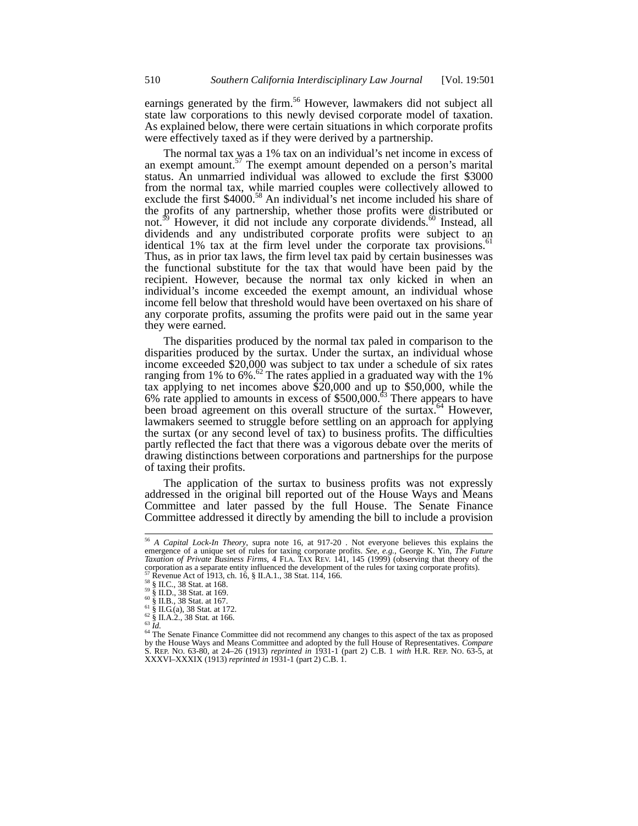earnings generated by the firm.<sup>56</sup> However, lawmakers did not subject all state law corporations to this newly devised corporate model of taxation. As explained below, there were certain situations in which corporate profits were effectively taxed as if they were derived by a partnership.

The normal tax was a 1% tax on an individual's net income in excess of an exempt amount. $57$  The exempt amount depended on a person's marital status. An unmarried individual was allowed to exclude the first \$3000 from the normal tax, while married couples were collectively allowed to exclude the first  $$4000<sup>58</sup>$  An individual's net income included his share of the profits of any partnership, whether those profits were distributed or not.<sup>39</sup> However, it did not include any corporate dividends.<sup>60</sup> Instead, all dividends and any undistributed corporate profits were subject to an identical 1% tax at the firm level under the corporate tax provisions. $^{\circ}$ <sup>1</sup> Thus, as in prior tax laws, the firm level tax paid by certain businesses was the functional substitute for the tax that would have been paid by the recipient. However, because the normal tax only kicked in when an individual's income exceeded the exempt amount, an individual whose income fell below that threshold would have been overtaxed on his share of any corporate profits, assuming the profits were paid out in the same year they were earned.

The disparities produced by the normal tax paled in comparison to the disparities produced by the surtax. Under the surtax, an individual whose income exceeded \$20,000 was subject to tax under a schedule of six rates ranging from 1% to  $6\%$ .<sup>62</sup> The rates applied in a graduated way with the 1% tax applying to net incomes above \$20,000 and up to \$50,000, while the 6% rate applied to amounts in excess of  $$500,000$ .<sup>63</sup> There appears to have been broad agreement on this overall structure of the surtax.<sup>64</sup> However, lawmakers seemed to struggle before settling on an approach for applying the surtax (or any second level of tax) to business profits. The difficulties partly reflected the fact that there was a vigorous debate over the merits of drawing distinctions between corporations and partnerships for the purpose of taxing their profits.

The application of the surtax to business profits was not expressly addressed in the original bill reported out of the House Ways and Means Committee and later passed by the full House. The Senate Finance Committee addressed it directly by amending the bill to include a provision

<sup>56</sup> *A Capital Lock-In Theory*, supra note 16, at 917-20 . Not everyone believes this explains the emergence of a unique set of rules for taxing corporate profits. *See, e.g.*, George K. Yin, *The Future Taxation of Private Business Firms,* 4 FLA. TAX REV. 141, 145 (1999) (observing that theory of the corporation as a separate entity influenced the development of the rules for taxing corporate profits).<br><sup>57</sup> Revenue Act of 1913, ch. 16, § II.A.1., 38 Stat. 114, 166.

Revenue Act or 1913, cn. 10, § 11.A.1., 30 Stat. 114, 100.<br>
<sup>58</sup> § II.C., 38 Stat. at 168.<br>
<sup>59</sup> § II.D., 38 Stat. at 169.<br>
<sup>61</sup> § II.B., 38 Stat. at 167.<br>
<sup>61</sup> § II.G.(a), 38 Stat. at 172.<br>
<sup>62</sup> § II.A.2., 38 Stat. at 16 by the House Ways and Means Committee and adopted by the full House of Representatives. *Compare* S. REP. NO. 63-80, at 24–26 (1913) *reprinted in* 1931-1 (part 2) C.B. 1 *with* H.R. REP. NO. 63-5, at XXXVI–XXXIX (1913) *reprinted in* 1931-1 (part 2) C.B. 1.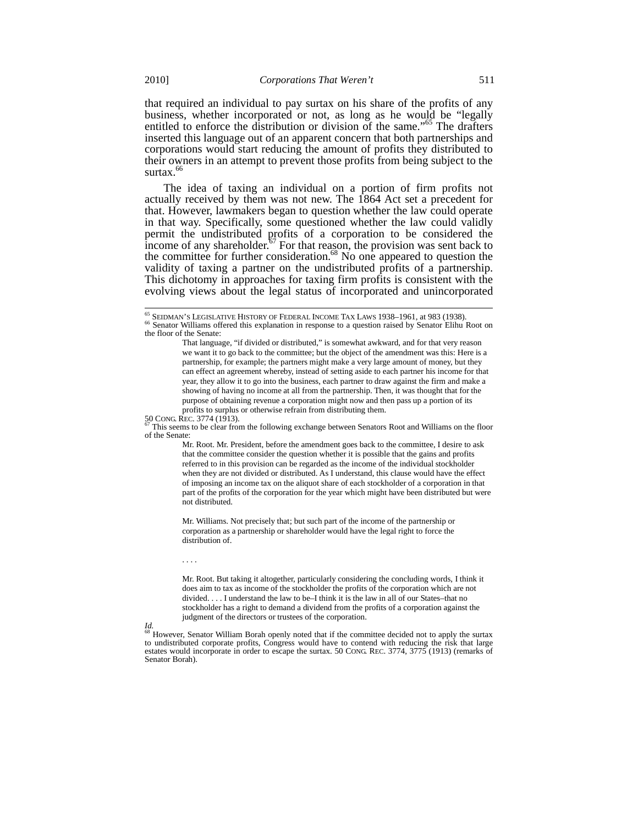that required an individual to pay surtax on his share of the profits of any business, whether incorporated or not, as long as he would be "legally entitled to enforce the distribution or division of the same."<sup>65</sup> The drafters inserted this language out of an apparent concern that both partnerships and corporations would start reducing the amount of profits they distributed to their owners in an attempt to prevent those profits from being subject to the surtax.<sup>66</sup>

The idea of taxing an individual on a portion of firm profits not actually received by them was not new. The 1864 Act set a precedent for that. However, lawmakers began to question whether the law could operate in that way. Specifically, some questioned whether the law could validly permit the undistributed profits of a corporation to be considered the income of any shareholder.<sup> $57$ </sup> For that reason, the provision was sent back to the committee for further consideration.<sup>68</sup> No one appeared to question the validity of taxing a partner on the undistributed profits of a partnership. This dichotomy in approaches for taxing firm profits is consistent with the evolving views about the legal status of incorporated and unincorporated

This seems to be clear from the following exchange between Senators Root and Williams on the floor of the Senate:

Mr. Root. Mr. President, before the amendment goes back to the committee, I desire to ask that the committee consider the question whether it is possible that the gains and profits referred to in this provision can be regarded as the income of the individual stockholder when they are not divided or distributed. As I understand, this clause would have the effect of imposing an income tax on the aliquot share of each stockholder of a corporation in that part of the profits of the corporation for the year which might have been distributed but were not distributed.

Mr. Williams. Not precisely that; but such part of the income of the partnership or corporation as a partnership or shareholder would have the legal right to force the distribution of.

Mr. Root. But taking it altogether, particularly considering the concluding words, I think it does aim to tax as income of the stockholder the profits of the corporation which are not divided. . . . I understand the law to be–I think it is the law in all of our States–that no stockholder has a right to demand a dividend from the profits of a corporation against the judgment of the directors or trustees of the corporation.

*Id.* However, Senator William Borah openly noted that if the committee decided not to apply the surtax to undistributed corporate profits, Congress would have to contend with reducing the risk that large estates would incorporate in order to escape the surtax. 50 CONG. REC. 3774, 3775 (1913) (remarks of Senator Borah).

<sup>&</sup>lt;sup>65</sup> SEIDMAN'S LEGISLATIVE HISTORY OF FEDERAL INCOME TAX LAWS 1938-1961, at 983 (1938). 66 Senator Williams offered this explanation in response to a question raised by Senator Elihu Root on the floor of the Senate:

That language, "if divided or distributed," is somewhat awkward, and for that very reason we want it to go back to the committee; but the object of the amendment was this: Here is a partnership, for example; the partners might make a very large amount of money, but they can effect an agreement whereby, instead of setting aside to each partner his income for that year, they allow it to go into the business, each partner to draw against the firm and make a showing of having no income at all from the partnership. Then, it was thought that for the purpose of obtaining revenue a corporation might now and then pass up a portion of its profits to surplus or otherwise refrain from distributing them.<br>  $\frac{50 \text{ CONG. RFC}}{100 \text{ T}}$  This secure to  $\frac{1}{2}$  at  $\frac{1}{2}$  and  $\frac{1}{2}$  and  $\frac{1}{2}$  and  $\frac{1}{2}$  and  $\frac{1}{2}$  and  $\frac{1}{2}$  and  $\frac{1}{2}$  and  $\frac{1$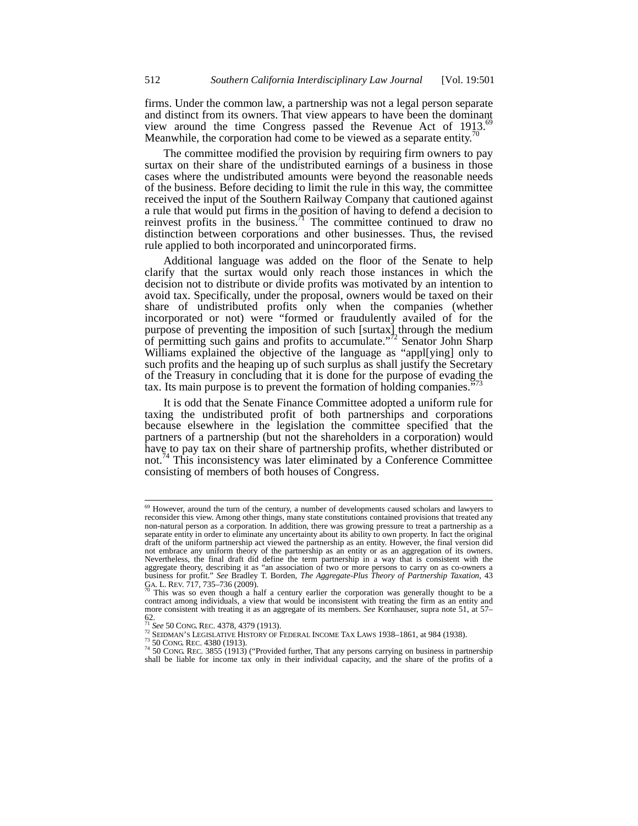firms. Under the common law, a partnership was not a legal person separate and distinct from its owners. That view appears to have been the dominant view around the time Congress passed the Revenue Act of  $1913^{69}$ Meanwhile, the corporation had come to be viewed as a separate entity.<sup>7</sup>

The committee modified the provision by requiring firm owners to pay surtax on their share of the undistributed earnings of a business in those cases where the undistributed amounts were beyond the reasonable needs of the business. Before deciding to limit the rule in this way, the committee received the input of the Southern Railway Company that cautioned against a rule that would put firms in the position of having to defend a decision to reinvest profits in the business.<sup>71</sup> The committee continued to draw no distinction between corporations and other businesses. Thus, the revised rule applied to both incorporated and unincorporated firms.

Additional language was added on the floor of the Senate to help clarify that the surtax would only reach those instances in which the decision not to distribute or divide profits was motivated by an intention to avoid tax. Specifically, under the proposal, owners would be taxed on their share of undistributed profits only when the companies (whether incorporated or not) were "formed or fraudulently availed of for the purpose of preventing the imposition of such [surtax] through the medium of permitting such gains and profits to accumulate."<sup>72</sup> Senator John Sharp Williams explained the objective of the language as "appl[ying] only to such profits and the heaping up of such surplus as shall justify the Secretary of the Treasury in concluding that it is done for the purpose of evading the tax. Its main purpose is to prevent the formation of holding companies."

It is odd that the Senate Finance Committee adopted a uniform rule for taxing the undistributed profit of both partnerships and corporations because elsewhere in the legislation the committee specified that the partners of a partnership (but not the shareholders in a corporation) would have to pay tax on their share of partnership profits, whether distributed or not.<sup>74</sup> This inconsistency was later eliminated by a Conference Committee consisting of members of both houses of Congress.

<sup>&</sup>lt;sup>69</sup> However, around the turn of the century, a number of developments caused scholars and lawyers to reconsider this view. Among other things, many state constitutions contained provisions that treated any non-natural person as a corporation. In addition, there was growing pressure to treat a partnership as a separate entity in order to eliminate any uncertainty about its ability to own property. In fact the original draft of the uniform partnership act viewed the partnership as an entity. However, the final version did not embrace any uniform theory of the partnership as an entity or as an aggregation of its owners. Nevertheless, the final draft did define the term partnership in a way that is consistent with the aggregate theory, describing it as "an association of two or more persons to carry on as co-owners a business for profit." *See* Bradley T. Borden, *The Aggregate-Plus Theory of Partnership Taxation*, 43 GA. L. REV. 717, 735–736 (2009).<br><sup>70</sup> This was so even though a half a century earlier the corporation was generally thought to be a

contract among individuals, a view that would be inconsistent with treating the firm as an entity and more consistent with treating it as an aggregate of its members. *See* Kornhauser, supra note 51, at 57– 62.<br> $\frac{71}{1}$  See 50 CONG, REC. 4378, 4379 (1913).

SEIDMAN'S LEGISLATIVE HISTORY OF FEDERAL INCOME TAX LAWS 1938–1861, at 984 (1938).<br>
<sup>73</sup> 50 CONG REC. 4380 (1913).<br>
<sup>74</sup> 50 CONG REC. 3855 (1913) ("Provided further, That any persons carrying on business in partnership shall be liable for income tax only in their individual capacity, and the share of the profits of a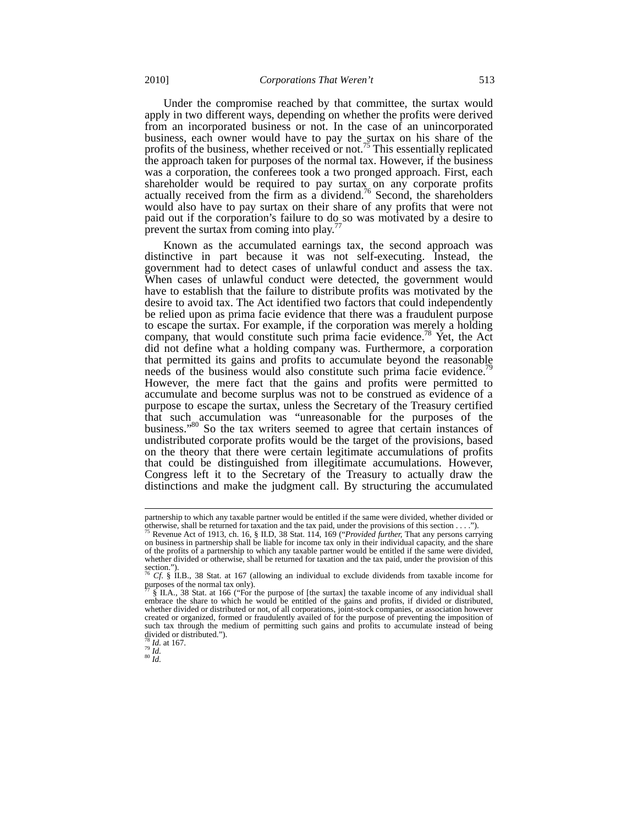Under the compromise reached by that committee, the surtax would apply in two different ways, depending on whether the profits were derived from an incorporated business or not. In the case of an unincorporated business, each owner would have to pay the surtax on his share of the profits of the business, whether received or not.<sup>75</sup> This essentially replicated the approach taken for purposes of the normal tax. However, if the business was a corporation, the conferees took a two pronged approach. First, each shareholder would be required to pay surtax on any corporate profits actually received from the firm as a dividend.<sup>76</sup> Second, the shareholders would also have to pay surtax on their share of any profits that were not paid out if the corporation's failure to do so was motivated by a desire to prevent the surtax from coming into play.<sup>7</sup>

Known as the accumulated earnings tax, the second approach was distinctive in part because it was not self-executing. Instead, the government had to detect cases of unlawful conduct and assess the tax. When cases of unlawful conduct were detected, the government would have to establish that the failure to distribute profits was motivated by the desire to avoid tax. The Act identified two factors that could independently be relied upon as prima facie evidence that there was a fraudulent purpose to escape the surtax. For example, if the corporation was merely a holding company, that would constitute such prima facie evidence.<sup>78</sup> Yet, the Act did not define what a holding company was. Furthermore, a corporation that permitted its gains and profits to accumulate beyond the reasonable needs of the business would also constitute such prima facie evidence.<sup>7</sup> However, the mere fact that the gains and profits were permitted to accumulate and become surplus was not to be construed as evidence of a purpose to escape the surtax, unless the Secretary of the Treasury certified that such accumulation was "unreasonable for the purposes of the business."<sup>80</sup> So the tax writers seemed to agree that certain instances of undistributed corporate profits would be the target of the provisions, based on the theory that there were certain legitimate accumulations of profits that could be distinguished from illegitimate accumulations. However, Congress left it to the Secretary of the Treasury to actually draw the distinctions and make the judgment call. By structuring the accumulated

partnership to which any taxable partner would be entitled if the same were divided, whether divided or otherwise, shall be returned for taxation and the tax paid, under the provisions of this section . . . .").

<sup>&</sup>lt;sup>75</sup> Revenue Act of 1913, ch. 16, § II.D, 38 Stat. 114, 169 ("*Provided further*, That any persons carrying on business in partnership shall be liable for income tax only in their individual capacity, and the share of the profits of a partnership to which any taxable partner would be entitled if the same were divided, whether divided or otherwise, shall be returned for taxation and the tax paid, under the provision of this section.").

<sup>76</sup> *Cf*. § II.B., 38 Stat. at 167 (allowing an individual to exclude dividends from taxable income for

purposes of the normal tax only).<br>  $\frac{77}{8}$  S II.A., 38 Stat. at 166 ("For the purpose of [the surtax] the taxable income of any individual shall embrace the share to which he would be entitled of the gains and profits, if divided or distributed, whether divided or distributed or not, of all corporations, joint-stock companies, or association however created or organized, formed or fraudulently availed of for the purpose of preventing the imposition of such tax through the medium of permitting such gains and profits to accumulate instead of being divided or distributed.").

 $\frac{78}{79}$  *Id.* at 167.<br> $\frac{79}{80}$  *Id.*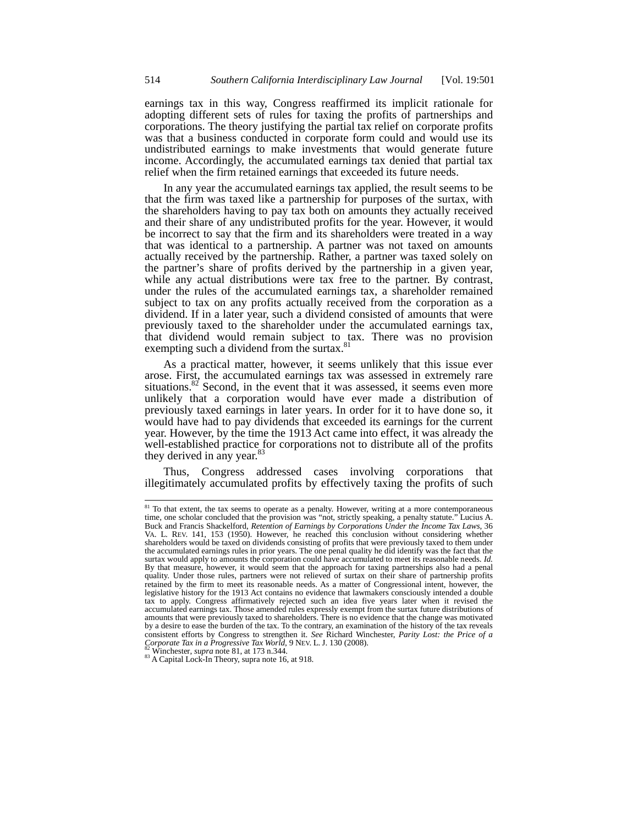earnings tax in this way, Congress reaffirmed its implicit rationale for adopting different sets of rules for taxing the profits of partnerships and corporations. The theory justifying the partial tax relief on corporate profits was that a business conducted in corporate form could and would use its undistributed earnings to make investments that would generate future income. Accordingly, the accumulated earnings tax denied that partial tax relief when the firm retained earnings that exceeded its future needs.

In any year the accumulated earnings tax applied, the result seems to be that the firm was taxed like a partnership for purposes of the surtax, with the shareholders having to pay tax both on amounts they actually received and their share of any undistributed profits for the year. However, it would be incorrect to say that the firm and its shareholders were treated in a way that was identical to a partnership. A partner was not taxed on amounts actually received by the partnership. Rather, a partner was taxed solely on the partner's share of profits derived by the partnership in a given year, while any actual distributions were tax free to the partner. By contrast, under the rules of the accumulated earnings tax, a shareholder remained subject to tax on any profits actually received from the corporation as a dividend. If in a later year, such a dividend consisted of amounts that were previously taxed to the shareholder under the accumulated earnings tax, that dividend would remain subject to tax. There was no provision exempting such a dividend from the surtax.<sup>8</sup>

As a practical matter, however, it seems unlikely that this issue ever arose. First, the accumulated earnings tax was assessed in extremely rare situations.<sup>82</sup> Second, in the event that it was assessed, it seems even more unlikely that a corporation would have ever made a distribution of previously taxed earnings in later years. In order for it to have done so, it would have had to pay dividends that exceeded its earnings for the current year. However, by the time the 1913 Act came into effect, it was already the well-established practice for corporations not to distribute all of the profits they derived in any year.<sup>83</sup>

Thus, Congress addressed cases involving corporations that illegitimately accumulated profits by effectively taxing the profits of such

<sup>&</sup>lt;sup>81</sup> To that extent, the tax seems to operate as a penalty. However, writing at a more contemporaneous time, one scholar concluded that the provision was "not, strictly speaking, a penalty statute." Lucius A. Buck and Francis Shackelford, *Retention of Earnings by Corporations Under the Income Tax Laws*, 36 VA. L. REV. 141, 153 (1950). However, he reached this conclusion without considering whether shareholders would be taxed on dividends consisting of profits that were previously taxed to them under the accumulated earnings rules in prior years. The one penal quality he did identify was the fact that the surtax would apply to amounts the corporation could have accumulated to meet its reasonable needs. *Id.* By that measure, however, it would seem that the approach for taxing partnerships also had a penal quality. Under those rules, partners were not relieved of surtax on their share of partnership profits retained by the firm to meet its reasonable needs. As a matter of Congressional intent, however, the legislative history for the 1913 Act contains no evidence that lawmakers consciously intended a double tax to apply. Congress affirmatively rejected such an idea five years later when it revised the accumulated earnings tax. Those amended rules expressly exempt from the surtax future distributions of amounts that were previously taxed to shareholders. There is no evidence that the change was motivated by a desire to ease the burden of the tax. To the contrary, an examination of the history of the tax reveals consistent efforts by Congress to strengthen it. See Richard Winchester, *Parity Lost: the Price of a* Corporate Tax in a Progressive Tax World, 9 NEV. L. J. 130 (2008).<br><sup>82</sup> Winchester, *supra* note 81, at 173 n.344.<br><sup>83</sup>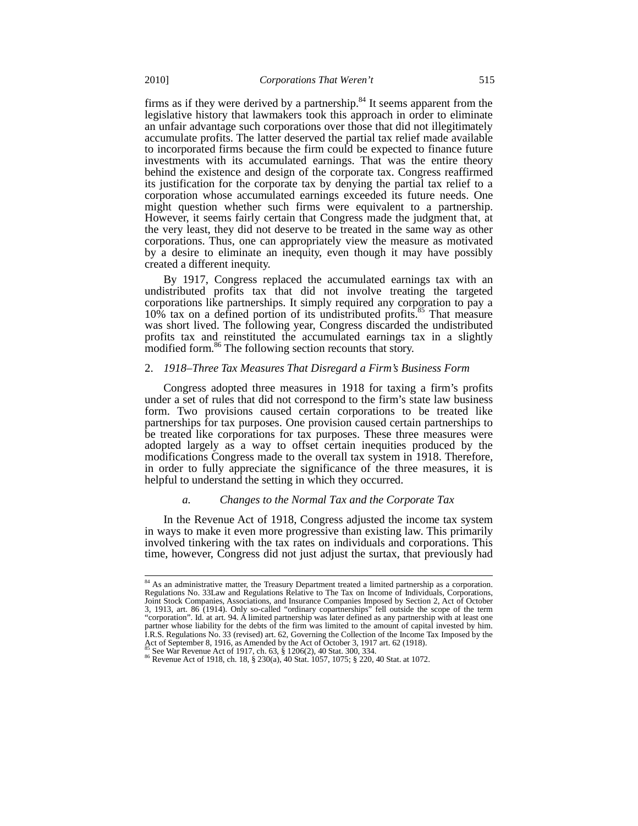firms as if they were derived by a partnership. $84$  It seems apparent from the legislative history that lawmakers took this approach in order to eliminate an unfair advantage such corporations over those that did not illegitimately accumulate profits. The latter deserved the partial tax relief made available to incorporated firms because the firm could be expected to finance future investments with its accumulated earnings. That was the entire theory behind the existence and design of the corporate tax. Congress reaffirmed its justification for the corporate tax by denying the partial tax relief to a corporation whose accumulated earnings exceeded its future needs. One might question whether such firms were equivalent to a partnership. However, it seems fairly certain that Congress made the judgment that, at the very least, they did not deserve to be treated in the same way as other corporations. Thus, one can appropriately view the measure as motivated by a desire to eliminate an inequity, even though it may have possibly created a different inequity.

By 1917, Congress replaced the accumulated earnings tax with an undistributed profits tax that did not involve treating the targeted corporations like partnerships. It simply required any corporation to pay a 10% tax on a defined portion of its undistributed profits.<sup>85</sup> That measure was short lived. The following year, Congress discarded the undistributed profits tax and reinstituted the accumulated earnings tax in a slightly modified form.<sup>86</sup> The following section recounts that story.

# 2. *1918–Three Tax Measures That Disregard a Firm's Business Form*

Congress adopted three measures in 1918 for taxing a firm's profits under a set of rules that did not correspond to the firm's state law business form. Two provisions caused certain corporations to be treated like partnerships for tax purposes. One provision caused certain partnerships to be treated like corporations for tax purposes. These three measures were adopted largely as a way to offset certain inequities produced by the modifications Congress made to the overall tax system in 1918. Therefore, in order to fully appreciate the significance of the three measures, it is helpful to understand the setting in which they occurred.

# *a. Changes to the Normal Tax and the Corporate Tax*

In the Revenue Act of 1918, Congress adjusted the income tax system in ways to make it even more progressive than existing law. This primarily involved tinkering with the tax rates on individuals and corporations. This time, however, Congress did not just adjust the surtax, that previously had

 $84$  As an administrative matter, the Treasury Department treated a limited partnership as a corporation. Regulations No. 33Law and Regulations Relative to The Tax on Income of Individuals, Corporations, Joint Stock Companies, Associations, and Insurance Companies Imposed by Section 2, Act of October 3, 1913, art. 86 (1914). Only so-called "ordinary copartnerships" fell outside the scope of the term "corporation". Id. at art. 94. A limited partnership was later defined as any partnership with at least one partner whose liability for the debts of the firm was limited to the amount of capital invested by him. I.R.S. Regulations No. 33 (revised) art. 62, Governing the Collection of the Income Tax Imposed by the Act of September 8, 1916, as Amended by the Act of October 3, 1917 art. 62 (1918).

<sup>&</sup>lt;sup>85</sup> See War Revenue Act of 1917, ch. 63,  $\frac{5}{8}$  1206(2), 40 Stat. 300, 334. **86** Revenue Act of 1918, ch. 18,  $\frac{5}{8}$  230(a), 40 Stat. 1057, 1075;  $\frac{5}{8}$  220, 40 Stat. at 1072.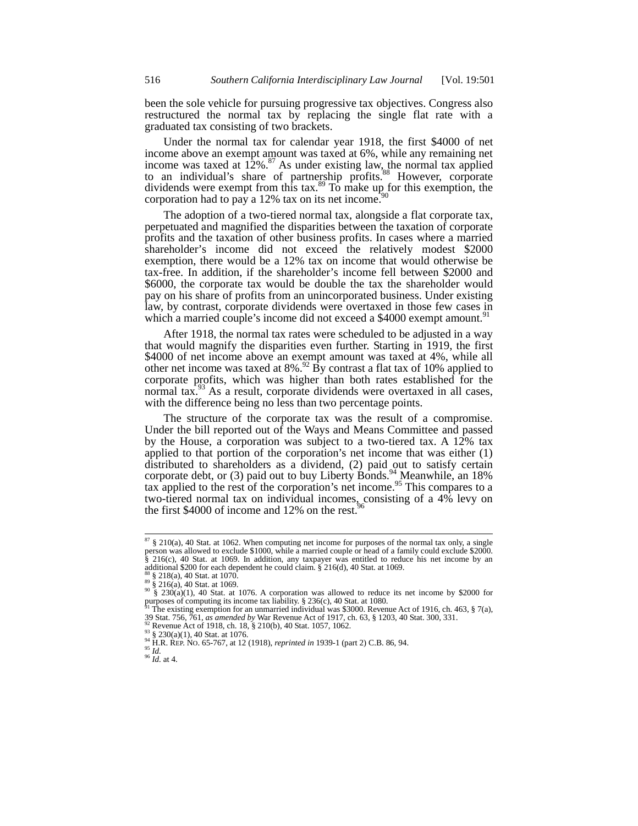been the sole vehicle for pursuing progressive tax objectives. Congress also restructured the normal tax by replacing the single flat rate with a graduated tax consisting of two brackets.

Under the normal tax for calendar year 1918, the first \$4000 of net income above an exempt amount was taxed at 6%, while any remaining net income was taxed at  $12\%$ .<sup>87</sup> As under existing law, the normal tax applied to an individual's share of partnership profits.<sup>88</sup> However, corporate dividends were exempt from this tax.<sup>89</sup> To make up for this exemption, the corporation had to pay a 12% tax on its net income.

The adoption of a two-tiered normal tax, alongside a flat corporate tax, perpetuated and magnified the disparities between the taxation of corporate profits and the taxation of other business profits. In cases where a married shareholder's income did not exceed the relatively modest \$2000 exemption, there would be a 12% tax on income that would otherwise be tax-free. In addition, if the shareholder's income fell between \$2000 and \$6000, the corporate tax would be double the tax the shareholder would pay on his share of profits from an unincorporated business. Under existing law, by contrast, corporate dividends were overtaxed in those few cases in which a married couple's income did not exceed a \$4000 exempt amount.<sup>91</sup>

After 1918, the normal tax rates were scheduled to be adjusted in a way that would magnify the disparities even further. Starting in 1919, the first \$4000 of net income above an exempt amount was taxed at 4%, while all other net income was taxed at  $8\%$ .<sup>92</sup> By contrast a flat tax of 10% applied to corporate profits, which was higher than both rates established for the normal tax.<sup>93</sup> As a result, corporate dividends were overtaxed in all cases, with the difference being no less than two percentage points.

The structure of the corporate tax was the result of a compromise. Under the bill reported out of the Ways and Means Committee and passed by the House, a corporation was subject to a two-tiered tax. A  $12\%$  tax applied to that portion of the corporation's net income that was either (1) distributed to shareholders as a dividend, (2) paid out to satisfy certain corporate debt, or (3) paid out to buy Liberty Bonds.<sup>94</sup> Meanwhile, an  $18\%$ tax applied to the rest of the corporation's net income.<sup>95</sup> This compares to a two-tiered normal tax on individual incomes, consisting of a 4% levy on the first \$4000 of income and 12% on the rest.<sup>96</sup>

 $87 \text{ }\frac{8}{3}$  210(a), 40 Stat. at 1062. When computing net income for purposes of the normal tax only, a single person was allowed to exclude \$1000, while a married couple or head of a family could exclude \$2000. § 216(c), 40 Stat. at 1069. In addition, any taxpayer was entitled to reduce his net income by an additional \$200 for each dependent he could claim. § 216(d), 40 Stat. at 1069.

 $\frac{88}{8}$  § 218(a), 40 Stat. at 1070.<br>
<sup>89</sup> § 216(a), 40 Stat. at 1069.<br>
<sup>90</sup> § 230(a)(1), 40 Stat. at 1076. A corporation was allowed to reduce its net income by \$2000 for purposes of computing its income tax liability. § 236(c), 40 Stat. at 1080.<br><sup>91</sup> The existing exemption for an unmarried individual was \$3000. Revenue Act of 1916, ch. 463, § 7(a),

<sup>39</sup> Stat. 756, 761, *as amended by* War Revenue Act of 1917, ch. 63, § 1203, 40 Stat. 300, 331.<br><sup>92</sup> Revenue Act of 1918, ch. 18, § 210(b), 40 Stat. 1057, 1062.<br><sup>92</sup> § 230(a)(1), 40 Stat. at 1076.<br><sup>94</sup> H.R. REP. NO. 65-767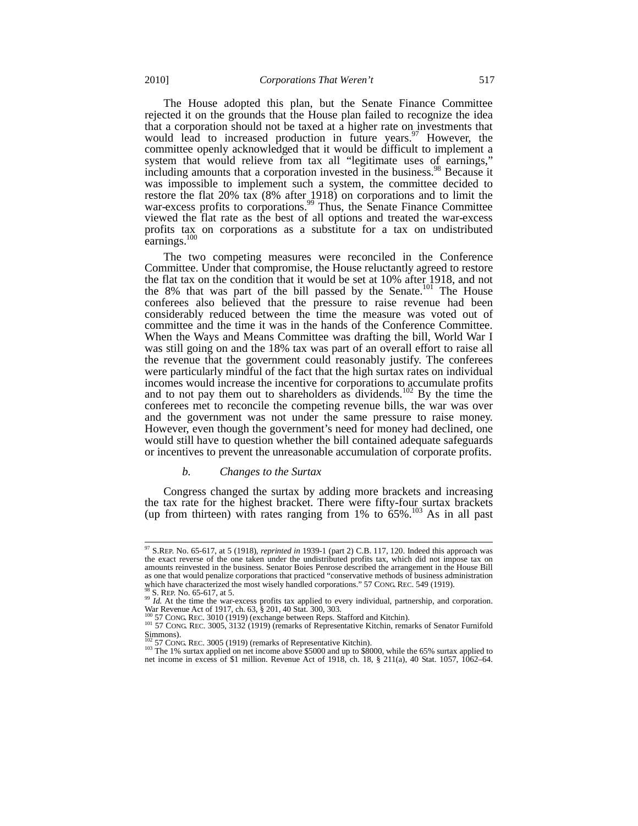The House adopted this plan, but the Senate Finance Committee rejected it on the grounds that the House plan failed to recognize the idea that a corporation should not be taxed at a higher rate on investments that would lead to increased production in future years. $97$  However, the committee openly acknowledged that it would be difficult to implement a system that would relieve from tax all "legitimate uses of earnings," including amounts that a corporation invested in the business.<sup>98</sup> Because it was impossible to implement such a system, the committee decided to restore the flat 20% tax  $(8\%$  after 1918) on corporations and to limit the war-excess profits to corporations.<sup>99</sup> Thus, the Senate Finance Committee viewed the flat rate as the best of all options and treated the war-excess profits tax on corporations as a substitute for a tax on undistributed earnings.<sup>100</sup>

The two competing measures were reconciled in the Conference Committee. Under that compromise, the House reluctantly agreed to restore the flat tax on the condition that it would be set at 10% after 1918, and not the 8% that was part of the bill passed by the Senate.<sup>101</sup> The House conferees also believed that the pressure to raise revenue had been considerably reduced between the time the measure was voted out of committee and the time it was in the hands of the Conference Committee. When the Ways and Means Committee was drafting the bill, World War I was still going on and the 18% tax was part of an overall effort to raise all the revenue that the government could reasonably justify. The conferees were particularly mindful of the fact that the high surtax rates on individual incomes would increase the incentive for corporations to accumulate profits and to not pay them out to shareholders as dividends.<sup>102</sup> By the time the conferees met to reconcile the competing revenue bills, the war was over and the government was not under the same pressure to raise money. However, even though the government's need for money had declined, one would still have to question whether the bill contained adequate safeguards or incentives to prevent the unreasonable accumulation of corporate profits.

# *b. Changes to the Surtax*

Congress changed the surtax by adding more brackets and increasing the tax rate for the highest bracket. There were fifty-four surtax brackets (up from thirteen) with rates ranging from 1% to  $65\%$ <sup>103</sup> As in all past

<sup>97</sup> S.REP. No. 65-617, at 5 (1918), *reprinted in* 1939-1 (part 2) C.B. 117, 120. Indeed this approach was the exact reverse of the one taken under the undistributed profits tax, which did not impose tax on amounts reinvested in the business. Senator Boies Penrose described the arrangement in the House Bill as one that would penalize corporations that practiced "conservative methods of business administration which have characterized the most wisely handled corporations." 57 CONG REC. 549 (1919).

<sup>&</sup>lt;sup>98</sup> S. REP. No. 65-617, at 5.<br><sup>99</sup> *Id.* At the time the war-excess profits tax applied to every individual, partnership, and corporation. War Revenue Act of 1917, ch. 63, § 201, 40 Stat. 300, 303.<br><sup>100</sup> S7 CONG REC. 3010 (1919) (exchange between Reps. Stafford and Kitchin).

<sup>&</sup>lt;sup>101</sup> 57 CONG. REC. 3010 (1919) (continuity between Representative Kitchin, remarks of Senator Furnifold

Simmons).<br><sup>102</sup> 57 CONG REC. 3005 (1919) (remarks of Representative Kitchin).

<sup>&</sup>lt;sup>103</sup> The 1% surtax applied on net income above \$5000 and up to \$8000, while the 65% surtax applied to net income in excess of \$1 million. Revenue Act of 1918, ch. 18, § 211(a), 40 Stat. 1057, 1062–64.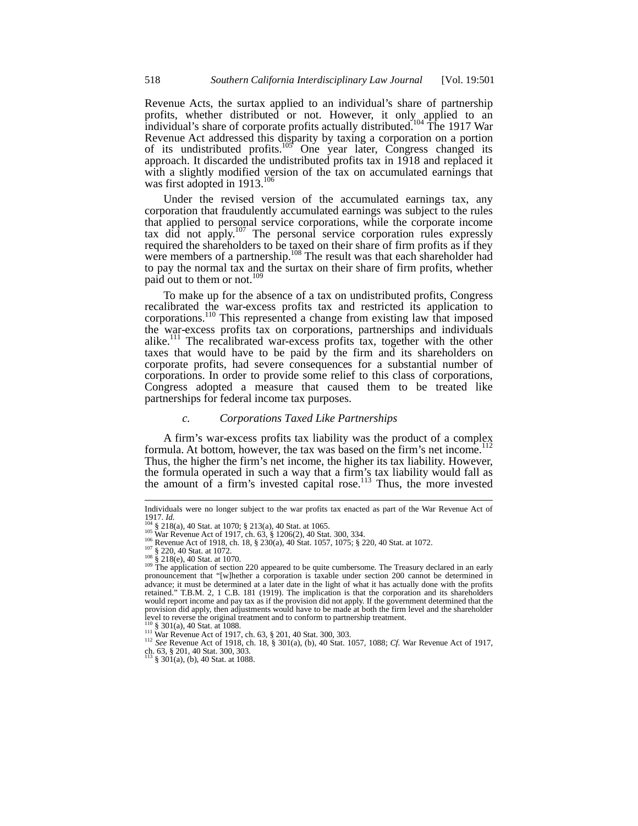Revenue Acts, the surtax applied to an individual's share of partnership profits, whether distributed or not. However, it only applied to an individual's share of corporate profits actually distributed.<sup>104</sup> The 1917 War Revenue Act addressed this disparity by taxing a corporation on a portion of its undistributed profits.<sup>105</sup> One year later, Congress changed its approach. It discarded the undistributed profits tax in 1918 and replaced it with a slightly modified version of the tax on accumulated earnings that was first adopted in 1913.<sup>106</sup>

Under the revised version of the accumulated earnings tax, any corporation that fraudulently accumulated earnings was subject to the rules that applied to personal service corporations, while the corporate income tax did not apply.<sup>107</sup> The personal service corporation rules expressly required the shareholders to be taxed on their share of firm profits as if they were members of a partnership.<sup>108</sup> The result was that each shareholder had to pay the normal tax and the surtax on their share of firm profits, whether paid out to them or not.<sup>109</sup>

To make up for the absence of a tax on undistributed profits, Congress recalibrated the war-excess profits tax and restricted its application to corporations.110 This represented a change from existing law that imposed the war-excess profits tax on corporations, partnerships and individuals alike.<sup>111</sup> The recalibrated war-excess profits tax, together with the other taxes that would have to be paid by the firm and its shareholders on corporate profits, had severe consequences for a substantial number of corporations. In order to provide some relief to this class of corporations, Congress adopted a measure that caused them to be treated like partnerships for federal income tax purposes.

## *c. Corporations Taxed Like Partnerships*

A firm's war-excess profits tax liability was the product of a complex formula. At bottom, however, the tax was based on the firm's net income.<sup>112</sup> Thus, the higher the firm's net income, the higher its tax liability. However, the formula operated in such a way that a firm's tax liability would fall as the amount of a firm's invested capital rose.<sup>113</sup> Thus, the more invested

Individuals were no longer subject to the war profits tax enacted as part of the War Revenue Act of  $1917. Id$ <br> $1917. U$ <br> $194.8.218(a)$  40 Stat. at 1970, 8.21.36 MeSter at 1970, 8.21.36 MeSter 1917. *Id.*<br>
104 § 218(a), 40 Stat. at 1070; § 213(a), 40 Stat. at 1065.<br>
105 War Revenue Act of 1917, ch. 63, § 1206(2), 40 Stat. 300, 334.<br>
106 Revenue Act of 1918, ch. 18, § 230(a), 40 Stat. 1057, 1075; § 220, 40 Stat.

pronouncement that "[w]hether a corporation is taxable under section 200 cannot be determined in advance; it must be determined at a later date in the light of what it has actually done with the profits retained." T.B.M. 2, 1 C.B. 181 (1919). The implication is that the corporation and its shareholders would report income and pay tax as if the provision did not apply. If the government determined that the provision did apply, then adjustments would have to be made at both the firm level and the shareholder level to reverse the original treatment and to conform to partnership treatment.<br> $\frac{110}{100}$  § 301(a), 40 Stat. at 1088.

<sup>111</sup> War Revenue Act of 1917, ch. 63, § 201, 40 Stat. 300, 303.<br><sup>112</sup> *See* Revenue Act of 1918, ch. 18, § 301(a), (b), 40 Stat. 1057, 1088; *Cf.* War Revenue Act of 1917, 1088; *Cf.* War Revenue Act of 1917, ch. 63, § 201, 40 Stat. 300, 303. <sup>113</sup> § 301(a), (b), 40 Stat. at 1088.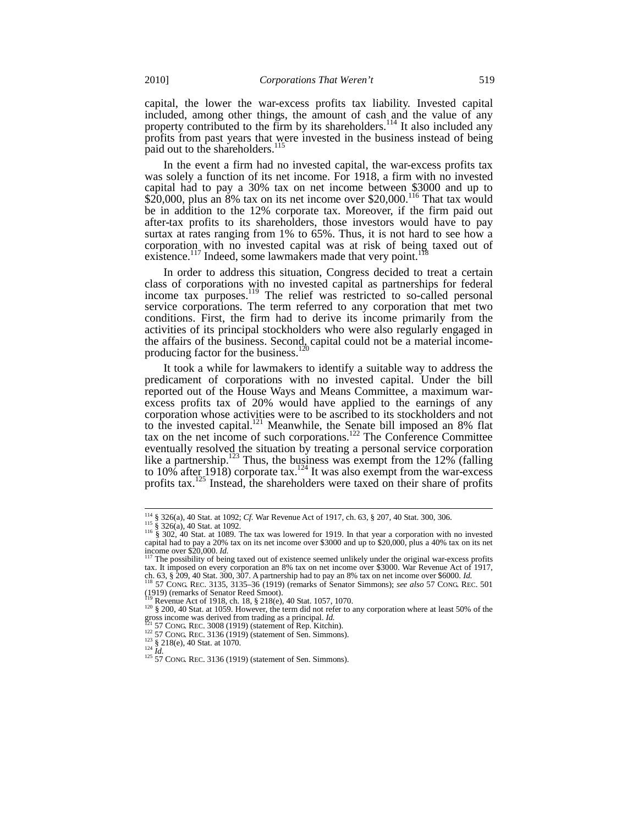capital, the lower the war-excess profits tax liability. Invested capital included, among other things, the amount of cash and the value of any property contributed to the firm by its shareholders.<sup>114</sup> It also included any profits from past years that were invested in the business instead of being paid out to the shareholders.<sup>115</sup>

In the event a firm had no invested capital, the war-excess profits tax was solely a function of its net income. For 1918, a firm with no invested capital had to pay a 30% tax on net income between \$3000 and up to  $$20,000$ , plus an 8% tax on its net income over  $$20,000$ .<sup>116</sup> That tax would be in addition to the 12% corporate tax. Moreover, if the firm paid out after-tax profits to its shareholders, those investors would have to pay surtax at rates ranging from 1% to 65%. Thus, it is not hard to see how a corporation with no invested capital was at risk of being taxed out of existence.<sup>117</sup> Indeed, some lawmakers made that very point.<sup>118</sup>

In order to address this situation, Congress decided to treat a certain class of corporations with no invested capital as partnerships for federal income tax purposes.<sup>119</sup> The relief was restricted to so-called personal service corporations. The term referred to any corporation that met two conditions. First, the firm had to derive its income primarily from the activities of its principal stockholders who were also regularly engaged in the affairs of the business. Second, capital could not be a material incomeproducing factor for the business.<sup>120</sup>

It took a while for lawmakers to identify a suitable way to address the predicament of corporations with no invested capital. Under the bill reported out of the House Ways and Means Committee, a maximum warexcess profits tax of 20% would have applied to the earnings of any corporation whose activities were to be ascribed to its stockholders and not to the invested capital.<sup>121</sup> Meanwhile, the Senate bill imposed an  $8\%$  flat tax on the net income of such corporations.<sup>122</sup> The Conference Committee eventually resolved the situation by treating a personal service corporation like a partnership.<sup>123</sup> Thus, the business was exempt from the  $12\%$  (falling to  $10\%$  after 1918) corporate tax.<sup>124</sup> It was also exempt from the war-excess profits tax.<sup>125</sup> Instead, the shareholders were taxed on their share of profits

<sup>&</sup>lt;sup>114</sup> § 326(a), 40 Stat. at 1092; *Cf*. War Revenue Act of 1917, ch. 63, § 207, 40 Stat. 300, 306.<br><sup>115</sup> § 326(a), 40 Stat. at 1092.<br><sup>116</sup> § 302, 40 Stat. at 1089. The tax was lowered for 1919. In that year a corporation capital had to pay a 20% tax on its net income over \$3000 and up to \$20,000, plus a 40% tax on its net<br>income over \$20,000. Id.<br> $\frac{117}{117}$  The possibility of being taxed out of originary served in the state of the stat

<sup>&</sup>lt;sup>117</sup> The possibility of being taxed out of existence seemed unlikely under the original war-excess profits tax. It imposed on every corporation an 8% tax on net income over \$3000. War Revenue Act of 1917, tax. It imposed on every corporation an 8% tax on net income over \$3000. War Revenue Act of 1917,

ch. 63, § 209, 40 Stat. 300, 307. A partnership had to pay an 8% tax on net income over \$6000. *Id.* <sup>118</sup> 57 CONG. REC. 3135, 3135–36 (1919) (remarks of Senator Simmons); *see also* 57 CONG. REC. 501 (1919) (remarks of Se

<sup>&</sup>lt;sup>119</sup> Revenue Act of 1918, ch. 18, § 218(e), 40 Stat. 1057, 1070.<br><sup>120</sup> § 200, 40 Stat. at 1059. However, the term did not refer to any corporation where at least 50% of the gross income was derived from trading as a prin

 $^{51}_{122}$  57 CONG REC. 3008 (1919) (statement of Rep. Kitchin).<br>  $^{122}_{122}$  57 CONG REC. 3136 (1919) (statement of Sen. Simmons).<br>  $^{123}_{124}$  § 218(e), 40 Stat. at 1070.<br>  $^{124}_{125}$  57 CONG REC. 3136 (1919) (statement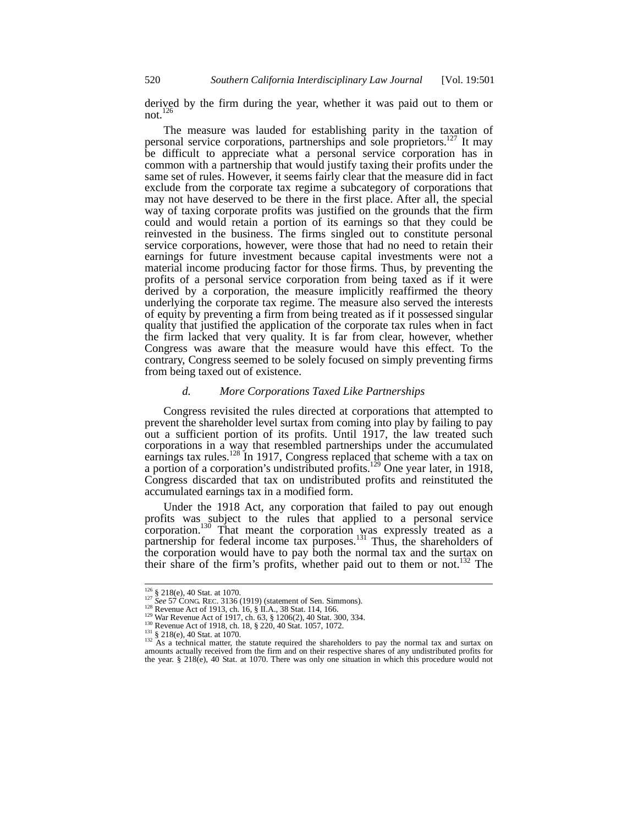derived by the firm during the year, whether it was paid out to them or not. $^{126}$ 

The measure was lauded for establishing parity in the taxation of personal service corporations, partnerships and sole proprietors.<sup>127</sup> It may be difficult to appreciate what a personal service corporation has in common with a partnership that would justify taxing their profits under the same set of rules. However, it seems fairly clear that the measure did in fact exclude from the corporate tax regime a subcategory of corporations that may not have deserved to be there in the first place. After all, the special way of taxing corporate profits was justified on the grounds that the firm could and would retain a portion of its earnings so that they could be reinvested in the business. The firms singled out to constitute personal service corporations, however, were those that had no need to retain their earnings for future investment because capital investments were not a material income producing factor for those firms. Thus, by preventing the profits of a personal service corporation from being taxed as if it were derived by a corporation, the measure implicitly reaffirmed the theory underlying the corporate tax regime. The measure also served the interests of equity by preventing a firm from being treated as if it possessed singular quality that justified the application of the corporate tax rules when in fact the firm lacked that very quality. It is far from clear, however, whether Congress was aware that the measure would have this effect. To the contrary, Congress seemed to be solely focused on simply preventing firms from being taxed out of existence.

#### *d. More Corporations Taxed Like Partnerships*

Congress revisited the rules directed at corporations that attempted to prevent the shareholder level surtax from coming into play by failing to pay out a sufficient portion of its profits. Until 1917, the law treated such corporations in a way that resembled partnerships under the accumulated earnings tax rules.<sup>128</sup> In 1917, Congress replaced that scheme with a tax on a portion of a corporation's undistributed profits.<sup>129</sup> One year later, in 1918, Congress discarded that tax on undistributed profits and reinstituted the accumulated earnings tax in a modified form.

Under the 1918 Act, any corporation that failed to pay out enough profits was subject to the rules that applied to a personal service corporation.<sup>130</sup> That meant the corporation was expressly treated as a partnership for federal income tax purposes.<sup>131</sup> Thus, the shareholders of the corporation would have to pay both the normal tax and the surtax on their share of the firm's profits, whether paid out to them or not.<sup>132</sup> The

<sup>&</sup>lt;sup>126</sup> § 218(e), 40 Stat. at 1070.<br><sup>127</sup> See 57 CONG. REC. 3136 (1919) (statement of Sen. Simmons).<br><sup>128</sup> Revenue Act of 1913, ch. 16, § II.A., 38 Stat. 114, 166.<br><sup>129</sup> War Revenue Act of 1917, ch. 63, § 1206(2), 40 Stat.  $131 \text{ }\frac{1}{32}$  and  $218$ (e), 40 Stat. at 1070.<br>  $132$  As a technical matter, the statute required the shareholders to pay the normal tax and surtax on amounts actually received from the firm and on their respective shar the year. § 218(e), 40 Stat. at 1070. There was only one situation in which this procedure would not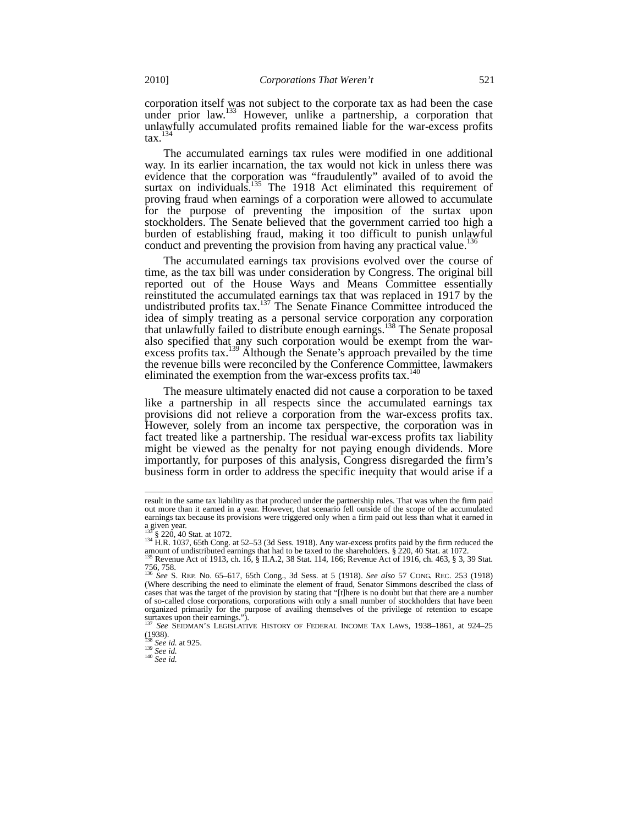corporation itself was not subject to the corporate tax as had been the case under prior law.<sup>133</sup> However, unlike a partnership, a corporation that unlawfully accumulated profits remained liable for the war-excess profits  $\text{tax.}^{134}$ 

The accumulated earnings tax rules were modified in one additional way. In its earlier incarnation, the tax would not kick in unless there was evidence that the corporation was "fraudulently" availed of to avoid the surtax on individuals.<sup>135</sup> The 1918 Act eliminated this requirement of proving fraud when earnings of a corporation were allowed to accumulate for the purpose of preventing the imposition of the surtax upon stockholders. The Senate believed that the government carried too high a burden of establishing fraud, making it too difficult to punish unlawful conduct and preventing the provision from having any practical value.<sup>136</sup>

The accumulated earnings tax provisions evolved over the course of time, as the tax bill was under consideration by Congress. The original bill reported out of the House Ways and Means Committee essentially reinstituted the accumulated earnings tax that was replaced in 1917 by the undistributed profits tax.<sup>137</sup> The Senate Finance Committee introduced the idea of simply treating as a personal service corporation any corporation that unlawfully failed to distribute enough earnings.138 The Senate proposal also specified that any such corporation would be exempt from the warexcess profits tax.<sup>139</sup> Although the Senate's approach prevailed by the time the revenue bills were reconciled by the Conference Committee, lawmakers eliminated the exemption from the war-excess profits tax.<sup>140</sup>

The measure ultimately enacted did not cause a corporation to be taxed like a partnership in all respects since the accumulated earnings tax provisions did not relieve a corporation from the war-excess profits tax. However, solely from an income tax perspective, the corporation was in fact treated like a partnership. The residual war-excess profits tax liability might be viewed as the penalty for not paying enough dividends. More importantly, for purposes of this analysis, Congress disregarded the firm's business form in order to address the specific inequity that would arise if a

result in the same tax liability as that produced under the partnership rules. That was when the firm paid out more than it earned in a year. However, that scenario fell outside of the scope of the accumulated earnings tax because its provisions were triggered only when a firm paid out less than what it earned in a given year.

<sup>135 § 220, 40</sup> Stat. at 1072.<br><sup>134</sup> H.R. 1037, 65th Cong. at 52–53 (3d Sess. 1918). Any war-excess profits paid by the firm reduced the amount of undistributed earnings that had to be taxed to the shareholders. § 220, 40 Stat. at 1072. <sup>135</sup> Revenue Act of 1913, ch. 16, § II.A.2, 38 Stat. 114, 166; Revenue Act of 1916, ch. 463, § 3, 39 Stat.

<sup>756, 758.</sup> <sup>136</sup> *See* S. REP. No. 65–617, 65th Cong., 3d Sess. at 5 (1918). *See also* 57 CONG. REC. 253 (1918)

<sup>(</sup>Where describing the need to eliminate the element of fraud, Senator Simmons described the class of (Where describing the need to eliminate the element of fraud, Senator Simmons described the class of cases that was the target of the provision by stating that "[t]here is no doubt but that there are a number of so-called close corporations, corporations with only a small number of stockholders that have been organized primarily for the purpose of availing themselves of the privilege of retention to escape surtaxes upon their earnings.")

<sup>137</sup> *See* SEIDMAN'S LEGISLATIVE HISTORY OF FEDERAL INCOME TAX LAWS, 1938–1861, at 924–25  $(1938)$ .

<sup>138</sup> *See id.* at 925. <sup>139</sup> *See id.* <sup>140</sup> *See id.*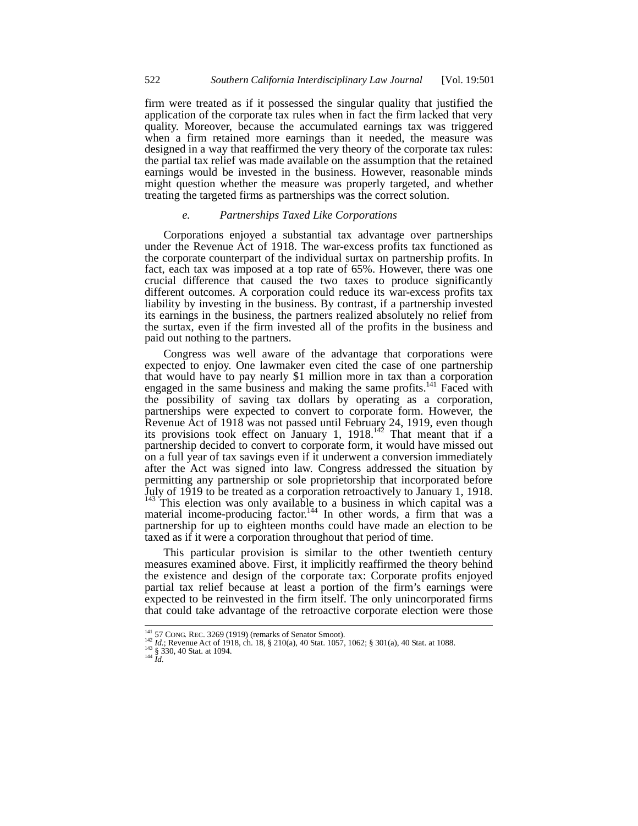firm were treated as if it possessed the singular quality that justified the application of the corporate tax rules when in fact the firm lacked that very quality. Moreover, because the accumulated earnings tax was triggered when a firm retained more earnings than it needed, the measure was designed in a way that reaffirmed the very theory of the corporate tax rules: the partial tax relief was made available on the assumption that the retained earnings would be invested in the business. However, reasonable minds might question whether the measure was properly targeted, and whether treating the targeted firms as partnerships was the correct solution.

# *e. Partnerships Taxed Like Corporations*

Corporations enjoyed a substantial tax advantage over partnerships under the Revenue Act of 1918. The war-excess profits tax functioned as the corporate counterpart of the individual surtax on partnership profits. In fact, each tax was imposed at a top rate of 65%. However, there was one crucial difference that caused the two taxes to produce significantly different outcomes. A corporation could reduce its war-excess profits tax liability by investing in the business. By contrast, if a partnership invested its earnings in the business, the partners realized absolutely no relief from the surtax, even if the firm invested all of the profits in the business and paid out nothing to the partners.

Congress was well aware of the advantage that corporations were expected to enjoy. One lawmaker even cited the case of one partnership that would have to pay nearly \$1 million more in tax than a corporation engaged in the same business and making the same profits.<sup>141</sup> Faced with the possibility of saving tax dollars by operating as a corporation, partnerships were expected to convert to corporate form. However, the Revenue Act of 1918 was not passed until February 24, 1919, even though its provisions took effect on January 1,  $1918$ .<sup>142</sup> That meant that if a partnership decided to convert to corporate form, it would have missed out on a full year of tax savings even if it underwent a conversion immediately after the Act was signed into law. Congress addressed the situation by permitting any partnership or sole proprietorship that incorporated before July of 1919 to be treated as a corporation retroactively to January 1, 1918. <sup>143</sup> This election was only available to a business in which capital was a material income-producing factor.<sup>144</sup> In other words, a firm that was a partnership for up to eighteen months could have made an election to be taxed as if it were a corporation throughout that period of time.

This particular provision is similar to the other twentieth century measures examined above. First, it implicitly reaffirmed the theory behind the existence and design of the corporate tax: Corporate profits enjoyed partial tax relief because at least a portion of the firm's earnings were expected to be reinvested in the firm itself. The only unincorporated firms that could take advantage of the retroactive corporate election were those

<sup>1&</sup>lt;sup>41</sup> 57 CONG. REC. 3269 (1919) (remarks of Senator Smoot).<br><sup>142</sup> *Id.*; Revenue Act of 1918, ch. 18, § 210(a), 40 Stat. 1057, 1062; § 301(a), 40 Stat. at 1088.<br><sup>143</sup> § 330, 40 Stat. at 1094.<br><sup>144</sup> *Id.*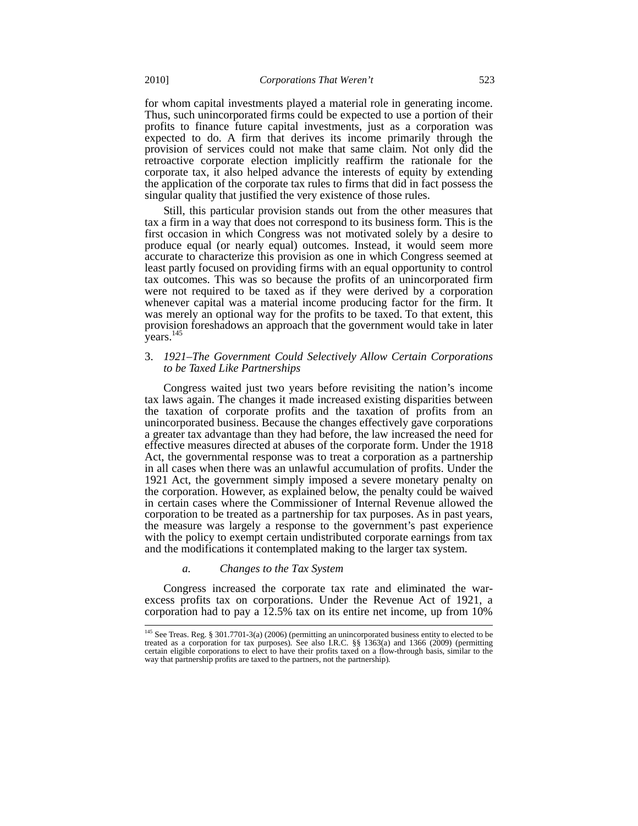for whom capital investments played a material role in generating income. Thus, such unincorporated firms could be expected to use a portion of their profits to finance future capital investments, just as a corporation was expected to do. A firm that derives its income primarily through the provision of services could not make that same claim. Not only did the retroactive corporate election implicitly reaffirm the rationale for the corporate tax, it also helped advance the interests of equity by extending the application of the corporate tax rules to firms that did in fact possess the singular quality that justified the very existence of those rules.

Still, this particular provision stands out from the other measures that tax a firm in a way that does not correspond to its business form. This is the first occasion in which Congress was not motivated solely by a desire to produce equal (or nearly equal) outcomes. Instead, it would seem more accurate to characterize this provision as one in which Congress seemed at least partly focused on providing firms with an equal opportunity to control tax outcomes. This was so because the profits of an unincorporated firm were not required to be taxed as if they were derived by a corporation whenever capital was a material income producing factor for the firm. It was merely an optional way for the profits to be taxed. To that extent, this provision foreshadows an approach that the government would take in later years.<sup>145</sup>

# 3. *1921–The Government Could Selectively Allow Certain Corporations to be Taxed Like Partnerships*

Congress waited just two years before revisiting the nation's income tax laws again. The changes it made increased existing disparities between the taxation of corporate profits and the taxation of profits from an unincorporated business. Because the changes effectively gave corporations a greater tax advantage than they had before, the law increased the need for effective measures directed at abuses of the corporate form. Under the 1918 Act, the governmental response was to treat a corporation as a partnership in all cases when there was an unlawful accumulation of profits. Under the 1921 Act, the government simply imposed a severe monetary penalty on the corporation. However, as explained below, the penalty could be waived in certain cases where the Commissioner of Internal Revenue allowed the corporation to be treated as a partnership for tax purposes. As in past years, the measure was largely a response to the government's past experience with the policy to exempt certain undistributed corporate earnings from tax and the modifications it contemplated making to the larger tax system.

#### *a. Changes to the Tax System*

Congress increased the corporate tax rate and eliminated the warexcess profits tax on corporations. Under the Revenue Act of 1921, a corporation had to pay a 12.5% tax on its entire net income, up from 10%

<sup>&</sup>lt;sup>145</sup> See Treas. Reg. § 301.7701-3(a) (2006) (permitting an unincorporated business entity to elected to be treated as a corporation for tax purposes). See also I.R.C. §§ 1363(a) and 1366 (2009) (permitting certain eligible corporations to elect to have their profits taxed on a flow-through basis, similar to the way that partnership profits are taxed to the partners, not the partnership).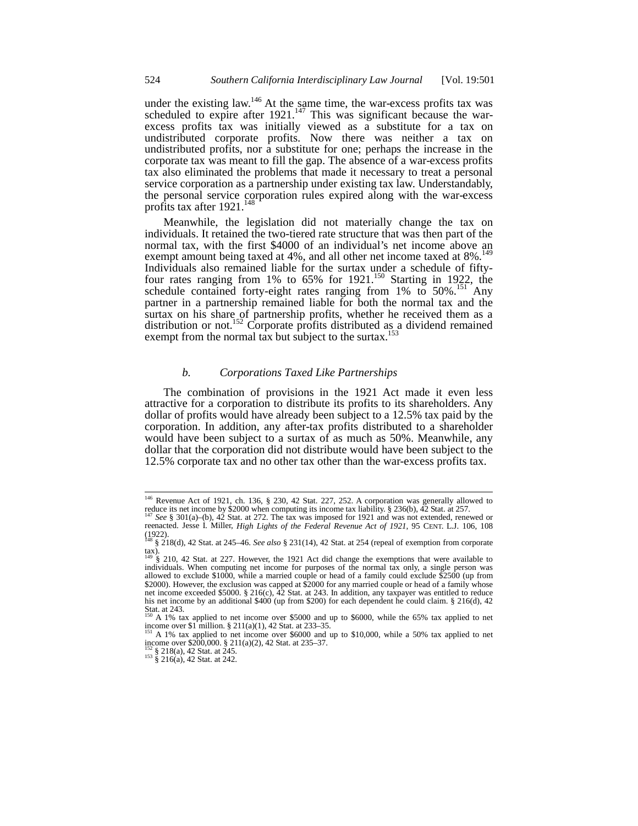under the existing law.<sup>146</sup> At the same time, the war-excess profits tax was scheduled to expire after  $1921$ .<sup>147</sup> This was significant because the warexcess profits tax was initially viewed as a substitute for a tax on undistributed corporate profits. Now there was neither a tax on undistributed profits, nor a substitute for one; perhaps the increase in the corporate tax was meant to fill the gap. The absence of a war-excess profits tax also eliminated the problems that made it necessary to treat a personal service corporation as a partnership under existing tax law. Understandably, the personal service corporation rules expired along with the war-excess profits tax after 1921.<sup>14</sup>

Meanwhile, the legislation did not materially change the tax on individuals. It retained the two-tiered rate structure that was then part of the normal tax, with the first \$4000 of an individual's net income above an exempt amount being taxed at 4%, and all other net income taxed at 8%.<sup>149</sup> Individuals also remained liable for the surtax under a schedule of fiftyfour rates ranging from  $1\%$  to 65% for  $1921$ .<sup>150</sup> Starting in 1922, the schedule contained forty-eight rates ranging from  $1\%$  to 50%.<sup>151</sup> Any partner in a partnership remained liable for both the normal tax and the surtax on his share of partnership profits, whether he received them as a distribution or not.<sup>152</sup> Corporate profits distributed as a dividend remained exempt from the normal tax but subject to the surtax.<sup>153</sup>

# *b. Corporations Taxed Like Partnerships*

The combination of provisions in the 1921 Act made it even less attractive for a corporation to distribute its profits to its shareholders. Any dollar of profits would have already been subject to a 12.5% tax paid by the corporation. In addition, any after-tax profits distributed to a shareholder would have been subject to a surtax of as much as 50%. Meanwhile, any dollar that the corporation did not distribute would have been subject to the 12.5% corporate tax and no other tax other than the war-excess profits tax.

<sup>146</sup> Revenue Act of 1921, ch. 136, § 230, 42 Stat. 227, 252. A corporation was generally allowed to reduce its net income by \$2000 when computing its income tax liability. § 236(b), 42 Stat. at 257.<br><sup>147</sup> *See* § 301(a)–(b), 42 Stat. at 272. The tax was imposed for 1921 and was not extended, renewed or

reenacted. Jesse I. Miller, *High Lights of the Federal Revenue Act of 1921*, 95 CENT. L.J. 106, 108 (1922). <sup>148</sup> § 218(d), 42 Stat. at 245–46. *See also* § 231(14), 42 Stat. at 254 (repeal of exemption from corporate

tax). <sup>149</sup> § 210, 42 Stat. at 227. However, the 1921 Act did change the exemptions that were available to

individuals. When computing net income for purposes of the normal tax only, a single person was allowed to exclude \$1000, while a married couple or head of a family could exclude \$2500 (up from \$2000). However, the exclusion was capped at \$2000 for any married couple or head of a family whose net income exceeded \$5000. § 216(c), 42 Stat. at 243. In addition, any taxpayer was entitled to reduce his net income by an additional \$400 (up from \$200) for each dependent he could claim. § 216(d), 42 Stat. at 243.

<sup>150</sup> A 1% tax applied to net income over \$5000 and up to \$6000, while the 65% tax applied to net income over \$1 million. § 211(a)(1), 42 Stat. at 233–35.

<sup>&</sup>lt;sup>151</sup> A 1% tax applied to net income over \$6000 and up to \$10,000, while a 50% tax applied to net income over \$200,000. § 211(a)(2), 42 Stat. at 235–37.

 $\frac{152}{152}$  § 218(a), 42 Stat. at 245.<br><sup>153</sup> § 216(a), 42 Stat. at 242.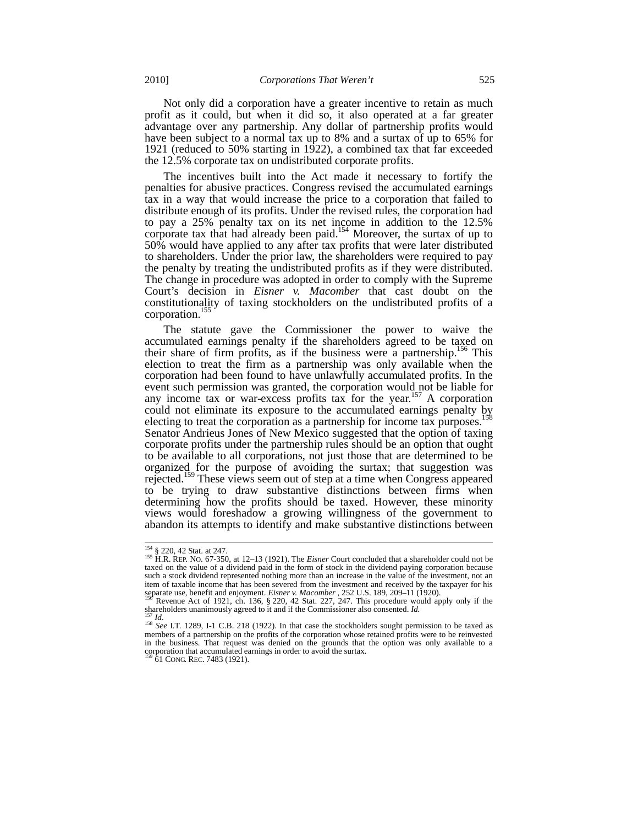Not only did a corporation have a greater incentive to retain as much profit as it could, but when it did so, it also operated at a far greater advantage over any partnership. Any dollar of partnership profits would have been subject to a normal tax up to 8% and a surtax of up to 65% for 1921 (reduced to 50% starting in 1922), a combined tax that far exceeded the 12.5% corporate tax on undistributed corporate profits.

The incentives built into the Act made it necessary to fortify the penalties for abusive practices. Congress revised the accumulated earnings tax in a way that would increase the price to a corporation that failed to distribute enough of its profits. Under the revised rules, the corporation had to pay a 25% penalty tax on its net income in addition to the 12.5% corporate tax that had already been paid.<sup>154</sup> Moreover, the surtax of up to 50% would have applied to any after tax profits that were later distributed to shareholders. Under the prior law, the shareholders were required to pay the penalty by treating the undistributed profits as if they were distributed. The change in procedure was adopted in order to comply with the Supreme Court's decision in *Eisner v. Macomber* that cast doubt on the constitutionality of taxing stockholders on the undistributed profits of a corporation.<sup>155</sup>

The statute gave the Commissioner the power to waive the accumulated earnings penalty if the shareholders agreed to be taxed on their share of firm profits, as if the business were a partnership.<sup>156</sup> This election to treat the firm as a partnership was only available when the corporation had been found to have unlawfully accumulated profits. In the event such permission was granted, the corporation would not be liable for any income tax or war-excess profits tax for the year.<sup>157</sup> A corporation could not eliminate its exposure to the accumulated earnings penalty by electing to treat the corporation as a partnership for income tax purposes.<sup>1</sup> Senator Andrieus Jones of New Mexico suggested that the option of taxing corporate profits under the partnership rules should be an option that ought to be available to all corporations, not just those that are determined to be organized for the purpose of avoiding the surtax; that suggestion was rejected.<sup>159</sup> These views seem out of step at a time when Congress appeared to be trying to draw substantive distinctions between firms when determining how the profits should be taxed. However, these minority views would foreshadow a growing willingness of the government to abandon its attempts to identify and make substantive distinctions between

 $154$  § 220, 42 Stat. at 247.

<sup>154</sup> § 220, 42 Stat. at 247. <sup>155</sup> H.R. REP. NO. 67-350, at 12–13 (1921). The *Eisner* Court concluded that a shareholder could not be taxed on the value of a dividend paid in the form of stock in the dividend paying corporation because such a stock dividend represented nothing more than an increase in the value of the investment, not an item of taxable income that has been severed from the investment and received by the taxpayer for his separate use, benefit and enjoyment. *Eisner v. Macomber*, 252 U.S. 189, 209–11 (1920).<br><sup>156</sup> Revenue Act of 1921, ch. 1

shareholders unanimously agreed to it and if the Commissioner also consented. *Id.* 158 *Id.* 158 *Id.* 158 *See* I.T. 1289, I-1 C.B. 218 (1922). In that case the stockholders sought permission to be taxed as

members of a partnership on the profits of the corporation whose retained profits were to be reinvested in the business. That request was denied on the grounds that the option was only available to a corporation that accumulated earnings in order to avoid the surtax. <sup>159</sup> 61 CONG. REC. 7483 (1921).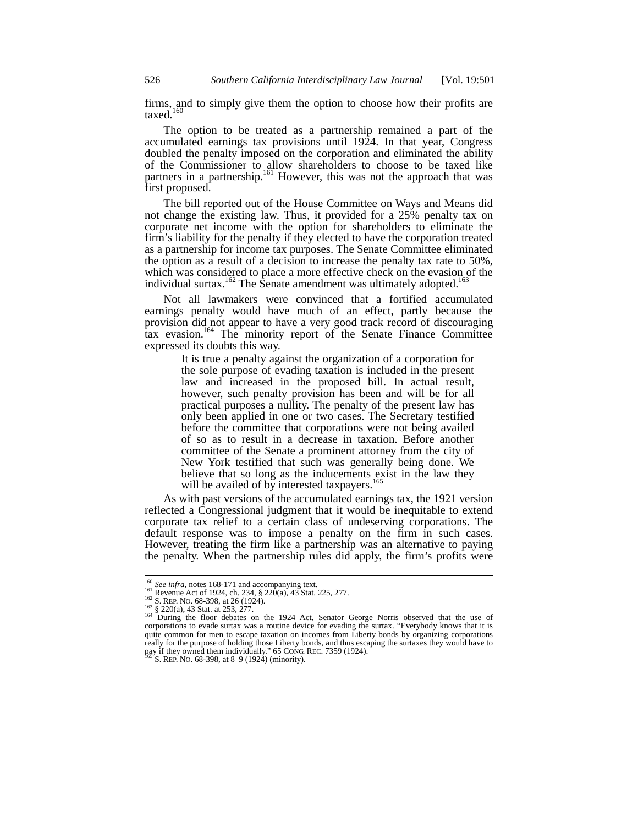firms, and to simply give them the option to choose how their profits are taxed.<sup>160</sup>

The option to be treated as a partnership remained a part of the accumulated earnings tax provisions until 1924. In that year, Congress doubled the penalty imposed on the corporation and eliminated the ability of the Commissioner to allow shareholders to choose to be taxed like partners in a partnership.<sup>161</sup> However, this was not the approach that was first proposed.

The bill reported out of the House Committee on Ways and Means did not change the existing law. Thus, it provided for a 25% penalty tax on corporate net income with the option for shareholders to eliminate the firm's liability for the penalty if they elected to have the corporation treated as a partnership for income tax purposes. The Senate Committee eliminated the option as a result of a decision to increase the penalty tax rate to 50%, which was considered to place a more effective check on the evasion of the individual surtax.<sup>162</sup> The Senate amendment was ultimately adopted.<sup>163</sup>

Not all lawmakers were convinced that a fortified accumulated earnings penalty would have much of an effect, partly because the provision did not appear to have a very good track record of discouraging tax evasion.<sup>164</sup> The minority report of the Senate Finance Committee expressed its doubts this way.

> It is true a penalty against the organization of a corporation for the sole purpose of evading taxation is included in the present law and increased in the proposed bill. In actual result, however, such penalty provision has been and will be for all practical purposes a nullity. The penalty of the present law has only been applied in one or two cases. The Secretary testified before the committee that corporations were not being availed of so as to result in a decrease in taxation. Before another committee of the Senate a prominent attorney from the city of New York testified that such was generally being done. We believe that so long as the inducements exist in the law they will be availed of by interested taxpayers.<sup>165</sup>

As with past versions of the accumulated earnings tax, the 1921 version reflected a Congressional judgment that it would be inequitable to extend corporate tax relief to a certain class of undeserving corporations. The default response was to impose a penalty on the firm in such cases. However, treating the firm like a partnership was an alternative to paying the penalty. When the partnership rules did apply, the firm's profits were

<sup>&</sup>lt;sup>160</sup> See infra, notes 168-171 and accompanying text.<br>
<sup>161</sup> Revenue Act of 1924, ch. 234, § 220(a), 43 Stat. 225, 277.

<sup>162</sup> S. REP. NO. 68-398, at 26 (1924).<br>
<sup>163</sup> § 220(a), 43 Stat. at 253, 277.<br>
<sup>163</sup> § 220(a), 43 Stat. at 253, 277.<br>
<sup>164</sup> During the floor debates on the 1924 Act, Senator George Norris observed that the use of corporations to evade surtax was a routine device for evading the surtax. "Everybody knows that it is quite common for men to escape taxation on incomes from Liberty bonds by organizing corporations really for the purpose of holding those Liberty bonds, and thus escaping the surtaxes they would have to pay if they owned them individually." 65 CONG. REC. 7359 (1924). 165 S. REP. NO. 68-398, at 8–9 (1924) (minority).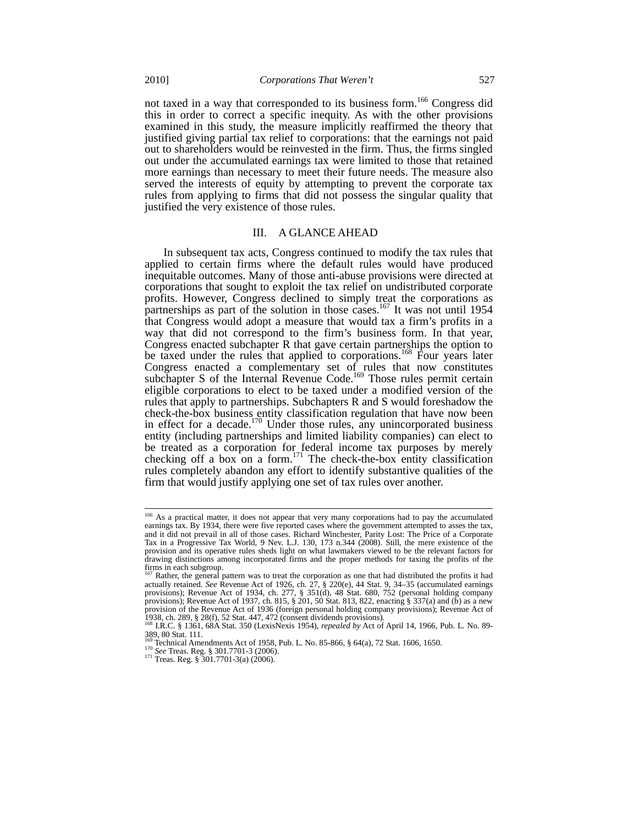not taxed in a way that corresponded to its business form.<sup>166</sup> Congress did this in order to correct a specific inequity. As with the other provisions examined in this study, the measure implicitly reaffirmed the theory that justified giving partial tax relief to corporations: that the earnings not paid out to shareholders would be reinvested in the firm. Thus, the firms singled out under the accumulated earnings tax were limited to those that retained more earnings than necessary to meet their future needs. The measure also served the interests of equity by attempting to prevent the corporate tax rules from applying to firms that did not possess the singular quality that justified the very existence of those rules.

# III. A GLANCE AHEAD

In subsequent tax acts, Congress continued to modify the tax rules that applied to certain firms where the default rules would have produced inequitable outcomes. Many of those anti-abuse provisions were directed at corporations that sought to exploit the tax relief on undistributed corporate profits. However, Congress declined to simply treat the corporations as partnerships as part of the solution in those cases.<sup>167</sup> It was not until 1954 that Congress would adopt a measure that would tax a firm's profits in a way that did not correspond to the firm's business form. In that year, Congress enacted subchapter R that gave certain partnerships the option to be taxed under the rules that applied to corporations.<sup>168</sup> Four years later Congress enacted a complementary set of rules that now constitutes subchapter S of the Internal Revenue Code.<sup>169</sup> Those rules permit certain eligible corporations to elect to be taxed under a modified version of the rules that apply to partnerships. Subchapters R and S would foreshadow the check-the-box business entity classification regulation that have now been in effect for a decade.<sup>170</sup> Under those rules, any unincorporated business entity (including partnerships and limited liability companies) can elect to be treated as a corporation for federal income tax purposes by merely checking off a box on a form.<sup>171</sup> The check-the-box entity classification rules completely abandon any effort to identify substantive qualities of the firm that would justify applying one set of tax rules over another.

<sup>&</sup>lt;sup>166</sup> As a practical matter, it does not appear that very many corporations had to pay the accumulated earnings tax. By 1934, there were five reported cases where the government attempted to asses the tax, and it did not prevail in all of those cases. Richard Winchester, Parity Lost: The Price of a Corporate Tax in a Progressive Tax World, 9 Nev. L.J. 130, 173 n.344 (2008). Still, the mere existence of the provision and its operative rules sheds light on what lawmakers viewed to be the relevant factors for drawing distinctions among incorporated firms and the proper methods for taxing the profits of the firms in each subgroup.

Rather, the general pattern was to treat the corporation as one that had distributed the profits it had actually retained. *See* Revenue Act of 1926, ch. 27, § 220(e), 44 Stat. 9, 34–35 (accumulated earnings provisions); Revenue Act of 1934, ch. 277, § 351(d), 48 Stat. 680, 752 (personal holding company provisions); Revenue Act of 1937, ch. 815, § 201, 50 Stat. 813, 822, enacting § 337(a) and (b) as a new provision of the Revenue Act of 1936 (foreign personal holding company provisions); Revenue Act of 1938, ch. 289, § 28(f), 52 Stat. 447, 472 (consent dividends provisions).<br>1938, ch. 289, § 28(f), 52 Stat. 447, 472 (consen

<sup>389, 80</sup> Stat. 111.<br><sup>169</sup> Technical Amendments Act of 1958, Pub. L. No. 85-866, § 64(a), 72 Stat. 1606, 1650.

<sup>1&</sup>lt;sup>70</sup> See Treas. Reg. § 301.7701-3 (2006).<br><sup>170</sup> See Treas. Reg. § 301.7701-3 (2006).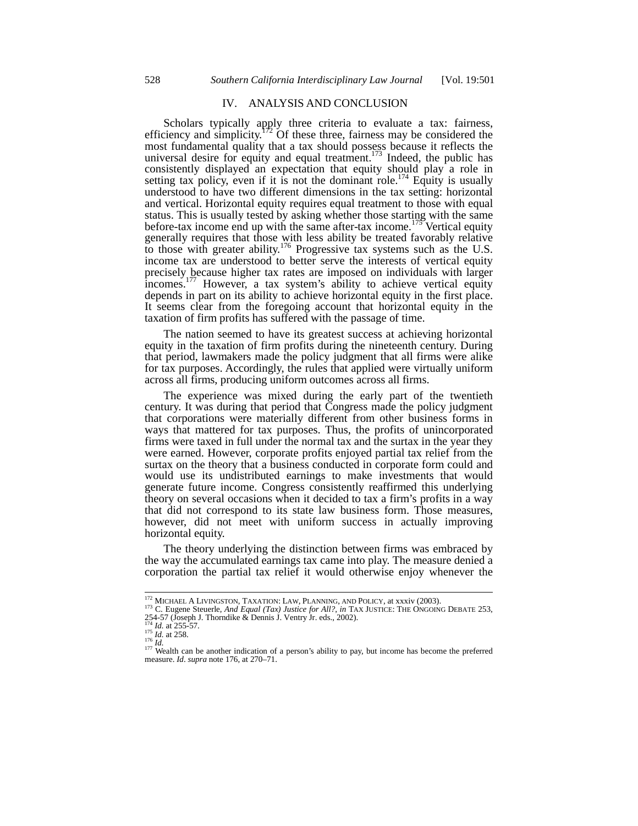# IV. ANALYSIS AND CONCLUSION

Scholars typically apply three criteria to evaluate a tax: fairness, efficiency and simplicity.<sup>172</sup> Of these three, fairness may be considered the most fundamental quality that a tax should possess because it reflects the universal desire for equity and equal treatment.<sup>173</sup> Indeed, the public has consistently displayed an expectation that equity should play a role in setting tax policy, even if it is not the dominant role.<sup>174</sup> Equity is usually understood to have two different dimensions in the tax setting: horizontal and vertical. Horizontal equity requires equal treatment to those with equal status. This is usually tested by asking whether those starting with the same before-tax income end up with the same after-tax income.<sup>175</sup> Vertical equity generally requires that those with less ability be treated favorably relative to those with greater ability.<sup>176</sup> Progressive tax systems such as the U.S. income tax are understood to better serve the interests of vertical equity precisely because higher tax rates are imposed on individuals with larger incomes.<sup>177</sup> However, a tax system's ability to achieve vertical equity depends in part on its ability to achieve horizontal equity in the first place. It seems clear from the foregoing account that horizontal equity in the taxation of firm profits has suffered with the passage of time.

The nation seemed to have its greatest success at achieving horizontal equity in the taxation of firm profits during the nineteenth century. During that period, lawmakers made the policy judgment that all firms were alike for tax purposes. Accordingly, the rules that applied were virtually uniform across all firms, producing uniform outcomes across all firms.

The experience was mixed during the early part of the twentieth century. It was during that period that Congress made the policy judgment that corporations were materially different from other business forms in ways that mattered for tax purposes. Thus, the profits of unincorporated firms were taxed in full under the normal tax and the surtax in the year they were earned. However, corporate profits enjoyed partial tax relief from the surtax on the theory that a business conducted in corporate form could and would use its undistributed earnings to make investments that would generate future income. Congress consistently reaffirmed this underlying theory on several occasions when it decided to tax a firm's profits in a way that did not correspond to its state law business form. Those measures, however, did not meet with uniform success in actually improving horizontal equity.

The theory underlying the distinction between firms was embraced by the way the accumulated earnings tax came into play. The measure denied a corporation the partial tax relief it would otherwise enjoy whenever the

<sup>&</sup>lt;sup>172</sup> MICHAEL A LIVINGSTON, TAXATION: LAW, PLANNING, AND POLICY, at xxxiv (2003).

<sup>&</sup>lt;sup>172</sup> MICHAEL A LIVINGSTON, TAXATION: LAW, PLANNING, AND POLICY, at xxxiv (2003).<br><sup>173</sup> C. Eugene Steuerle, *And Equal (Tax) Justice for All?*, *in* TAX JUSTICE: THE ONGOING DEBATE 253,<br>254-57 (Joseph J. Thorndike & Dennis

<sup>&</sup>lt;sup>174</sup> *Id.* at 255-57.<br><sup>175</sup> *Id.* at 258.<br><sup>176</sup> *Id.* 174 **Id.** 176 **Id.** 176 **Id.** 176 **Id.** 176 **Id.** 176 **Id.** 176 **ID.** 176 **ID.** 176 **ID.** 176 **ID.** 177 **Wealth can be another indication of a person's ability to pay,** measure. *Id*. *supra* note 176, at 270–71.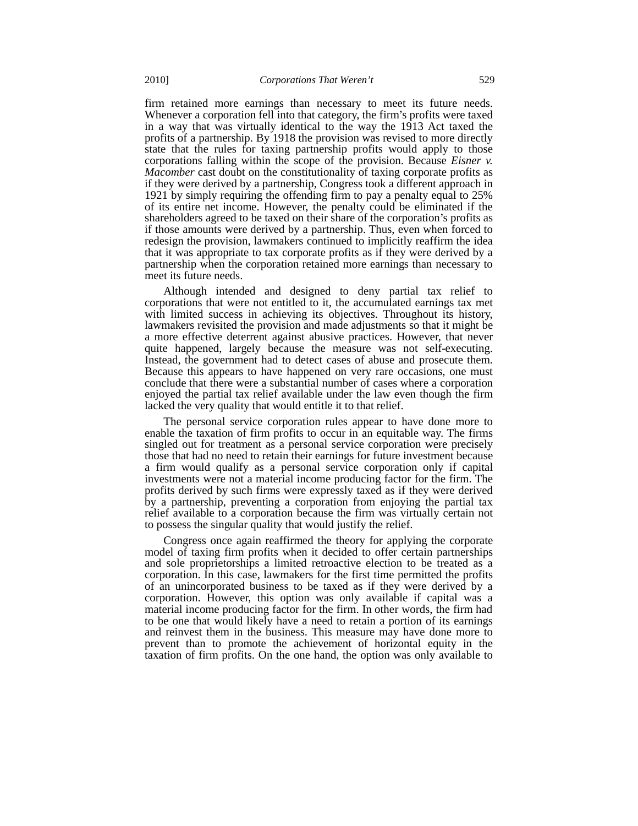firm retained more earnings than necessary to meet its future needs. Whenever a corporation fell into that category, the firm's profits were taxed in a way that was virtually identical to the way the 1913 Act taxed the profits of a partnership. By 1918 the provision was revised to more directly state that the rules for taxing partnership profits would apply to those corporations falling within the scope of the provision. Because *Eisner v. Macomber* cast doubt on the constitutionality of taxing corporate profits as if they were derived by a partnership, Congress took a different approach in 1921 by simply requiring the offending firm to pay a penalty equal to 25% of its entire net income. However, the penalty could be eliminated if the shareholders agreed to be taxed on their share of the corporation's profits as if those amounts were derived by a partnership. Thus, even when forced to redesign the provision, lawmakers continued to implicitly reaffirm the idea that it was appropriate to tax corporate profits as if they were derived by a partnership when the corporation retained more earnings than necessary to meet its future needs.

Although intended and designed to deny partial tax relief to corporations that were not entitled to it, the accumulated earnings tax met with limited success in achieving its objectives. Throughout its history, lawmakers revisited the provision and made adjustments so that it might be a more effective deterrent against abusive practices. However, that never quite happened, largely because the measure was not self-executing. Instead, the government had to detect cases of abuse and prosecute them. Because this appears to have happened on very rare occasions, one must conclude that there were a substantial number of cases where a corporation enjoyed the partial tax relief available under the law even though the firm lacked the very quality that would entitle it to that relief.

The personal service corporation rules appear to have done more to enable the taxation of firm profits to occur in an equitable way. The firms singled out for treatment as a personal service corporation were precisely those that had no need to retain their earnings for future investment because a firm would qualify as a personal service corporation only if capital investments were not a material income producing factor for the firm. The profits derived by such firms were expressly taxed as if they were derived by a partnership, preventing a corporation from enjoying the partial tax relief available to a corporation because the firm was virtually certain not to possess the singular quality that would justify the relief.

Congress once again reaffirmed the theory for applying the corporate model of taxing firm profits when it decided to offer certain partnerships and sole proprietorships a limited retroactive election to be treated as a corporation. In this case, lawmakers for the first time permitted the profits of an unincorporated business to be taxed as if they were derived by a corporation. However, this option was only available if capital was a material income producing factor for the firm. In other words, the firm had to be one that would likely have a need to retain a portion of its earnings and reinvest them in the business. This measure may have done more to prevent than to promote the achievement of horizontal equity in the taxation of firm profits. On the one hand, the option was only available to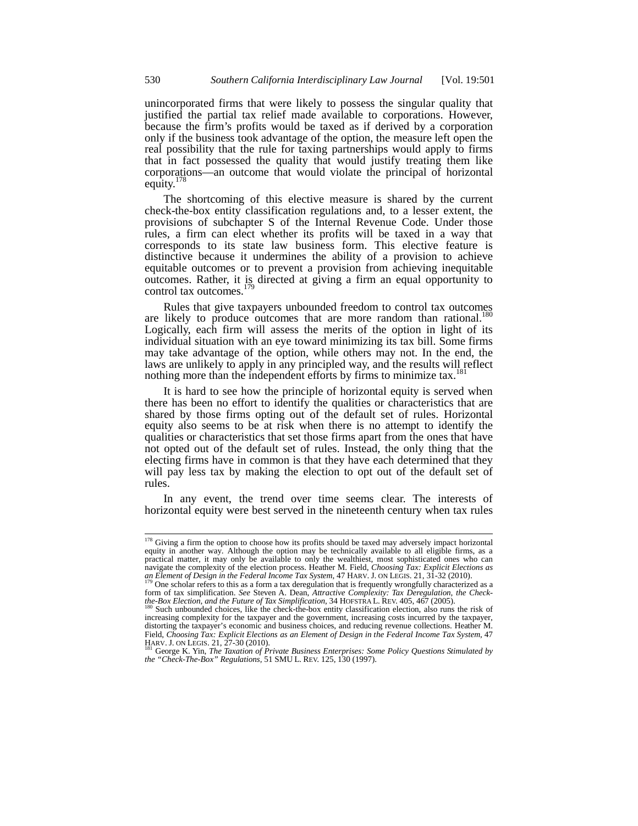unincorporated firms that were likely to possess the singular quality that justified the partial tax relief made available to corporations. However, because the firm's profits would be taxed as if derived by a corporation only if the business took advantage of the option, the measure left open the real possibility that the rule for taxing partnerships would apply to firms that in fact possessed the quality that would justify treating them like corporations—an outcome that would violate the principal of horizontal equity. $178$ 

The shortcoming of this elective measure is shared by the current check-the-box entity classification regulations and, to a lesser extent, the provisions of subchapter S of the Internal Revenue Code. Under those rules, a firm can elect whether its profits will be taxed in a way that corresponds to its state law business form. This elective feature is distinctive because it undermines the ability of a provision to achieve equitable outcomes or to prevent a provision from achieving inequitable outcomes. Rather, it is directed at giving a firm an equal opportunity to control tax outcomes.<sup>179</sup>

Rules that give taxpayers unbounded freedom to control tax outcomes are likely to produce outcomes that are more random than rational.<sup>180</sup> Logically, each firm will assess the merits of the option in light of its individual situation with an eye toward minimizing its tax bill. Some firms may take advantage of the option, while others may not. In the end, the laws are unlikely to apply in any principled way, and the results will reflect nothing more than the independent efforts by firms to minimize tax.<sup>1</sup>

It is hard to see how the principle of horizontal equity is served when there has been no effort to identify the qualities or characteristics that are shared by those firms opting out of the default set of rules. Horizontal equity also seems to be at risk when there is no attempt to identify the qualities or characteristics that set those firms apart from the ones that have not opted out of the default set of rules. Instead, the only thing that the electing firms have in common is that they have each determined that they will pay less tax by making the election to opt out of the default set of rules.

In any event, the trend over time seems clear. The interests of horizontal equity were best served in the nineteenth century when tax rules

<sup>&</sup>lt;sup>178</sup> Giving a firm the option to choose how its profits should be taxed may adversely impact horizontal equity in another way. Although the option may be technically available to all eligible firms, as a practical matter, it may only be available to only the wealthiest, most sophisticated ones who can navigate the complexity of the election process. Heather M. Field, *Choosing Tax: Explicit Elections as* 

an Element of Design in the Federal Income Tax System, 47 HARV. J. ON LEGIS. 21, 31-32 (2010).<br><sup>179</sup> One scholar refers to this as a form a tax deregulation that is frequently wrongfully characterized as a<br>form of tax simp *the-Box Election, and the Future of Tax Simplification, 34 HOFSTRA L. REV. 405, 467 (2005).*<br><sup>180</sup> Such unbounded choices, like the check-the-box entity classification election, also runs the risk of

increasing complexity for the taxpayer and the government, increasing costs incurred by the taxpayer, distorting the taxpayer's economic and business choices, and reducing revenue collections. Heather M. Field, Choosing Tax: Explicit Elections as an Element of Design in the Federal Income Tax System, 47<br>HARV. J. ON LEGIS. 21, 27-30 (2010).<br><sup>181</sup> George K. Yin, *The Taxation of Private Business Enterprises: Some Policy Ques* 

*the "Check-The-Box" Regulations,* 51 SMU L. REV. 125, 130 (1997).